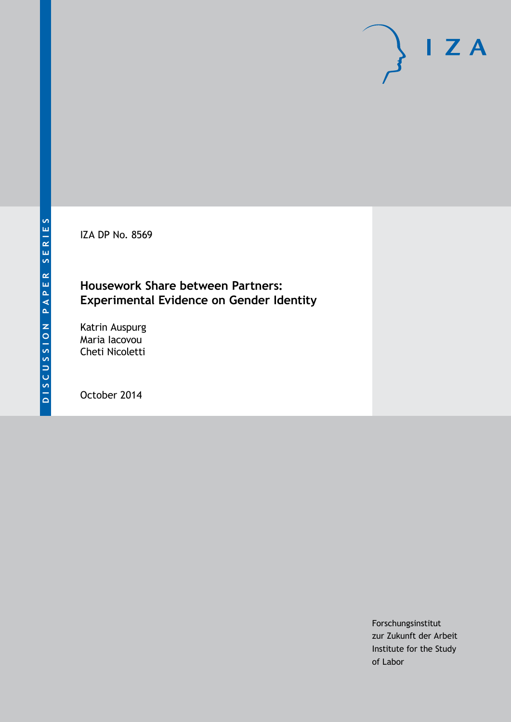IZA DP No. 8569

## **Housework Share between Partners: Experimental Evidence on Gender Identity**

Katrin Auspurg Maria Iacovou Cheti Nicoletti

October 2014

Forschungsinstitut zur Zukunft der Arbeit Institute for the Study of Labor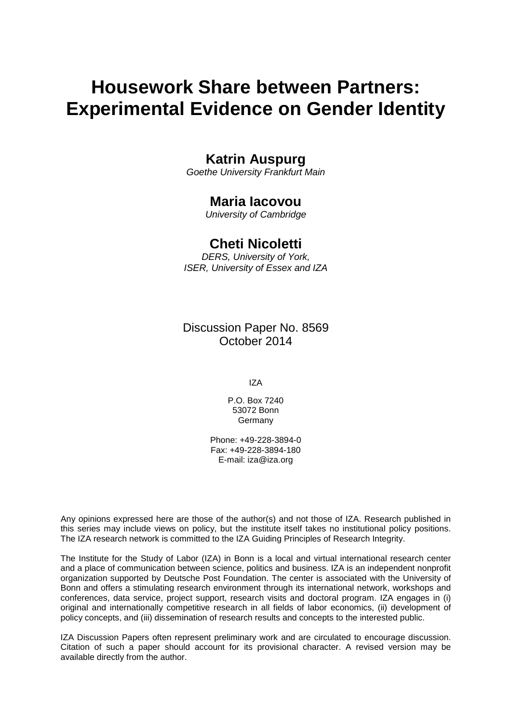# **Housework Share between Partners: Experimental Evidence on Gender Identity**

## **Katrin Auspurg**

*Goethe University Frankfurt Main*

## **Maria Iacovou**

*University of Cambridge*

### **Cheti Nicoletti**

*DERS, University of York, ISER, University of Essex and IZA*

Discussion Paper No. 8569 October 2014

IZA

P.O. Box 7240 53072 Bonn Germany

Phone: +49-228-3894-0 Fax: +49-228-3894-180 E-mail: [iza@iza.org](mailto:iza@iza.org)

Any opinions expressed here are those of the author(s) and not those of IZA. Research published in this series may include views on policy, but the institute itself takes no institutional policy positions. The IZA research network is committed to the IZA Guiding Principles of Research Integrity.

The Institute for the Study of Labor (IZA) in Bonn is a local and virtual international research center and a place of communication between science, politics and business. IZA is an independent nonprofit organization supported by Deutsche Post Foundation. The center is associated with the University of Bonn and offers a stimulating research environment through its international network, workshops and conferences, data service, project support, research visits and doctoral program. IZA engages in (i) original and internationally competitive research in all fields of labor economics, (ii) development of policy concepts, and (iii) dissemination of research results and concepts to the interested public.

<span id="page-1-0"></span>IZA Discussion Papers often represent preliminary work and are circulated to encourage discussion. Citation of such a paper should account for its provisional character. A revised version may be available directly from the author.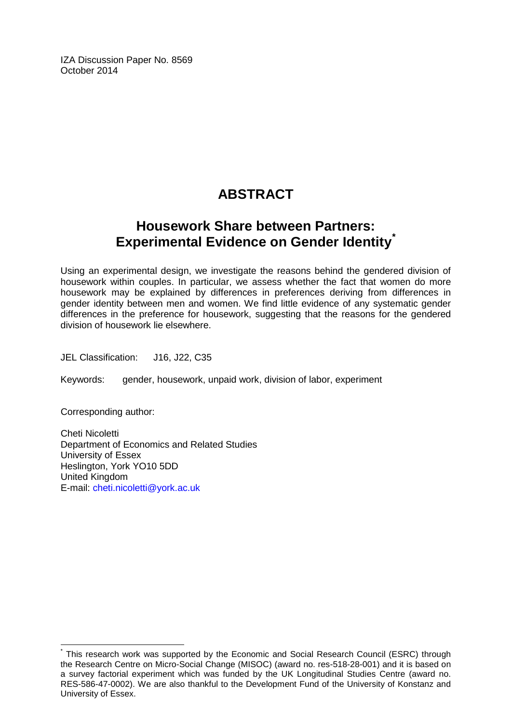IZA Discussion Paper No. 8569 October 2014

# **ABSTRACT**

# **Housework Share between Partners: Experimental Evidence on Gender Identity[\\*](#page-1-0)**

Using an experimental design, we investigate the reasons behind the gendered division of housework within couples. In particular, we assess whether the fact that women do more housework may be explained by differences in preferences deriving from differences in gender identity between men and women. We find little evidence of any systematic gender differences in the preference for housework, suggesting that the reasons for the gendered division of housework lie elsewhere.

JEL Classification: J16, J22, C35

Keywords: gender, housework, unpaid work, division of labor, experiment

Corresponding author:

Cheti Nicoletti Department of Economics and Related Studies University of Essex Heslington, York YO10 5DD United Kingdom E-mail: [cheti.nicoletti@york.ac.uk](mailto:cheti.nicoletti@york.ac.uk)

This research work was supported by the Economic and Social Research Council (ESRC) through the Research Centre on Micro-Social Change (MISOC) (award no. res-518-28-001) and it is based on a survey factorial experiment which was funded by the UK Longitudinal Studies Centre (award no. RES-586-47-0002). We are also thankful to the Development Fund of the University of Konstanz and University of Essex.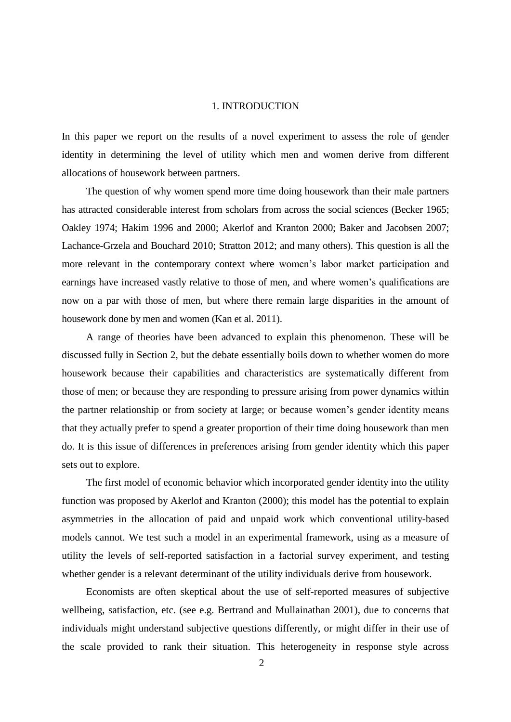#### 1. INTRODUCTION

In this paper we report on the results of a novel experiment to assess the role of gender identity in determining the level of utility which men and women derive from different allocations of housework between partners.

The question of why women spend more time doing housework than their male partners has attracted considerable interest from scholars from across the social sciences (Becker 1965; Oakley 1974; Hakim 1996 and 2000; Akerlof and Kranton 2000; Baker and Jacobsen 2007; Lachance-Grzela and Bouchard 2010; Stratton 2012; and many others). This question is all the more relevant in the contemporary context where women's labor market participation and earnings have increased vastly relative to those of men, and where women's qualifications are now on a par with those of men, but where there remain large disparities in the amount of housework done by men and women (Kan et al. 2011).

A range of theories have been advanced to explain this phenomenon. These will be discussed fully in Section 2, but the debate essentially boils down to whether women do more housework because their capabilities and characteristics are systematically different from those of men; or because they are responding to pressure arising from power dynamics within the partner relationship or from society at large; or because women's gender identity means that they actually prefer to spend a greater proportion of their time doing housework than men do. It is this issue of differences in preferences arising from gender identity which this paper sets out to explore.

The first model of economic behavior which incorporated gender identity into the utility function was proposed by Akerlof and Kranton (2000); this model has the potential to explain asymmetries in the allocation of paid and unpaid work which conventional utility-based models cannot. We test such a model in an experimental framework, using as a measure of utility the levels of self-reported satisfaction in a factorial survey experiment, and testing whether gender is a relevant determinant of the utility individuals derive from housework.

Economists are often skeptical about the use of self-reported measures of subjective wellbeing, satisfaction, etc. (see e.g. Bertrand and Mullainathan 2001), due to concerns that individuals might understand subjective questions differently, or might differ in their use of the scale provided to rank their situation. This heterogeneity in response style across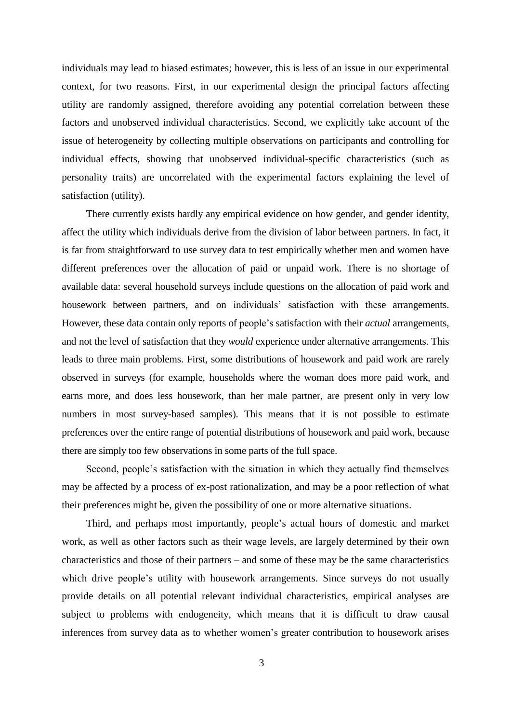individuals may lead to biased estimates; however, this is less of an issue in our experimental context, for two reasons. First, in our experimental design the principal factors affecting utility are randomly assigned, therefore avoiding any potential correlation between these factors and unobserved individual characteristics. Second, we explicitly take account of the issue of heterogeneity by collecting multiple observations on participants and controlling for individual effects, showing that unobserved individual-specific characteristics (such as personality traits) are uncorrelated with the experimental factors explaining the level of satisfaction (utility).

There currently exists hardly any empirical evidence on how gender, and gender identity, affect the utility which individuals derive from the division of labor between partners. In fact, it is far from straightforward to use survey data to test empirically whether men and women have different preferences over the allocation of paid or unpaid work. There is no shortage of available data: several household surveys include questions on the allocation of paid work and housework between partners, and on individuals' satisfaction with these arrangements. However, these data contain only reports of people's satisfaction with their *actual* arrangements, and not the level of satisfaction that they *would* experience under alternative arrangements. This leads to three main problems. First, some distributions of housework and paid work are rarely observed in surveys (for example, households where the woman does more paid work, and earns more, and does less housework, than her male partner, are present only in very low numbers in most survey-based samples). This means that it is not possible to estimate preferences over the entire range of potential distributions of housework and paid work, because there are simply too few observations in some parts of the full space.

Second, people's satisfaction with the situation in which they actually find themselves may be affected by a process of ex-post rationalization, and may be a poor reflection of what their preferences might be, given the possibility of one or more alternative situations.

Third, and perhaps most importantly, people's actual hours of domestic and market work, as well as other factors such as their wage levels, are largely determined by their own characteristics and those of their partners – and some of these may be the same characteristics which drive people's utility with housework arrangements. Since surveys do not usually provide details on all potential relevant individual characteristics, empirical analyses are subject to problems with endogeneity, which means that it is difficult to draw causal inferences from survey data as to whether women's greater contribution to housework arises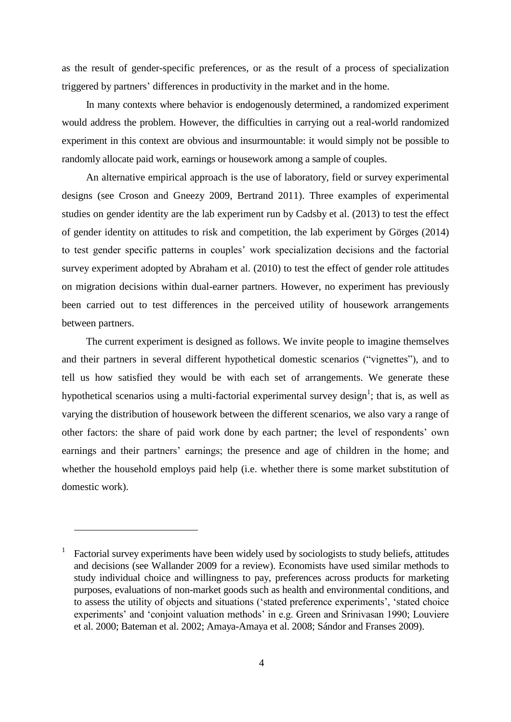as the result of gender-specific preferences, or as the result of a process of specialization triggered by partners' differences in productivity in the market and in the home.

In many contexts where behavior is endogenously determined, a randomized experiment would address the problem. However, the difficulties in carrying out a real-world randomized experiment in this context are obvious and insurmountable: it would simply not be possible to randomly allocate paid work, earnings or housework among a sample of couples.

An alternative empirical approach is the use of laboratory, field or survey experimental designs (see Croson and Gneezy 2009, Bertrand 2011). Three examples of experimental studies on gender identity are the lab experiment run by Cadsby et al. (2013) to test the effect of gender identity on attitudes to risk and competition, the lab experiment by Görges (2014) to test gender specific patterns in couples' work specialization decisions and the factorial survey experiment adopted by Abraham et al. (2010) to test the effect of gender role attitudes on migration decisions within dual-earner partners. However, no experiment has previously been carried out to test differences in the perceived utility of housework arrangements between partners.

The current experiment is designed as follows. We invite people to imagine themselves and their partners in several different hypothetical domestic scenarios ("vignettes"), and to tell us how satisfied they would be with each set of arrangements. We generate these hypothetical scenarios using a multi-factorial experimental survey design<sup>1</sup>; that is, as well as varying the distribution of housework between the different scenarios, we also vary a range of other factors: the share of paid work done by each partner; the level of respondents' own earnings and their partners' earnings; the presence and age of children in the home; and whether the household employs paid help (i.e. whether there is some market substitution of domestic work).

<sup>1</sup> Factorial survey experiments have been widely used by sociologists to study beliefs, attitudes and decisions (see Wallander 2009 for a review). Economists have used similar methods to study individual choice and willingness to pay, preferences across products for marketing purposes, evaluations of non-market goods such as health and environmental conditions, and to assess the utility of objects and situations ('stated preference experiments', 'stated choice experiments' and 'conjoint valuation methods' in e.g. Green and Srinivasan 1990; Louviere et al. 2000; Bateman et al. 2002; Amaya-Amaya et al. 2008; Sándor and Franses 2009).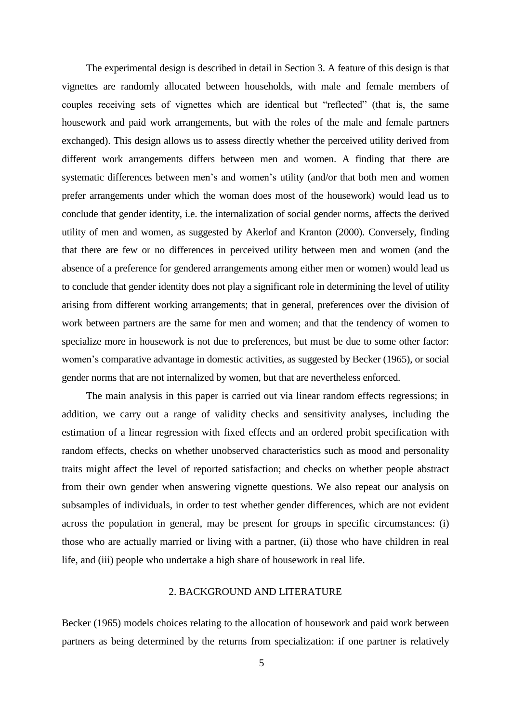The experimental design is described in detail in Section 3. A feature of this design is that vignettes are randomly allocated between households, with male and female members of couples receiving sets of vignettes which are identical but "reflected" (that is, the same housework and paid work arrangements, but with the roles of the male and female partners exchanged). This design allows us to assess directly whether the perceived utility derived from different work arrangements differs between men and women. A finding that there are systematic differences between men's and women's utility (and/or that both men and women prefer arrangements under which the woman does most of the housework) would lead us to conclude that gender identity, i.e. the internalization of social gender norms, affects the derived utility of men and women, as suggested by Akerlof and Kranton (2000). Conversely, finding that there are few or no differences in perceived utility between men and women (and the absence of a preference for gendered arrangements among either men or women) would lead us to conclude that gender identity does not play a significant role in determining the level of utility arising from different working arrangements; that in general, preferences over the division of work between partners are the same for men and women; and that the tendency of women to specialize more in housework is not due to preferences, but must be due to some other factor: women's comparative advantage in domestic activities, as suggested by Becker (1965), or social gender norms that are not internalized by women, but that are nevertheless enforced.

The main analysis in this paper is carried out via linear random effects regressions; in addition, we carry out a range of validity checks and sensitivity analyses, including the estimation of a linear regression with fixed effects and an ordered probit specification with random effects, checks on whether unobserved characteristics such as mood and personality traits might affect the level of reported satisfaction; and checks on whether people abstract from their own gender when answering vignette questions. We also repeat our analysis on subsamples of individuals, in order to test whether gender differences, which are not evident across the population in general, may be present for groups in specific circumstances: (i) those who are actually married or living with a partner, (ii) those who have children in real life, and (iii) people who undertake a high share of housework in real life.

#### 2. BACKGROUND AND LITERATURE

Becker (1965) models choices relating to the allocation of housework and paid work between partners as being determined by the returns from specialization: if one partner is relatively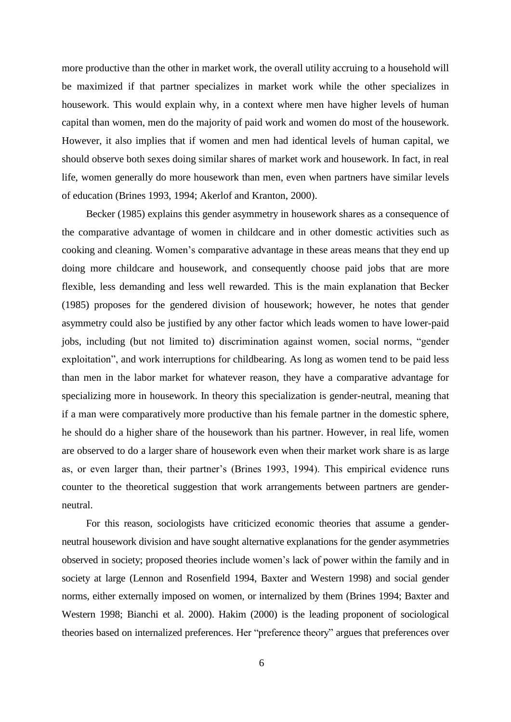more productive than the other in market work, the overall utility accruing to a household will be maximized if that partner specializes in market work while the other specializes in housework. This would explain why, in a context where men have higher levels of human capital than women, men do the majority of paid work and women do most of the housework. However, it also implies that if women and men had identical levels of human capital, we should observe both sexes doing similar shares of market work and housework. In fact, in real life, women generally do more housework than men, even when partners have similar levels of education (Brines 1993, 1994; Akerlof and Kranton, 2000).

Becker (1985) explains this gender asymmetry in housework shares as a consequence of the comparative advantage of women in childcare and in other domestic activities such as cooking and cleaning. Women's comparative advantage in these areas means that they end up doing more childcare and housework, and consequently choose paid jobs that are more flexible, less demanding and less well rewarded. This is the main explanation that Becker (1985) proposes for the gendered division of housework; however, he notes that gender asymmetry could also be justified by any other factor which leads women to have lower-paid jobs, including (but not limited to) discrimination against women, social norms, "gender exploitation", and work interruptions for childbearing. As long as women tend to be paid less than men in the labor market for whatever reason, they have a comparative advantage for specializing more in housework. In theory this specialization is gender-neutral, meaning that if a man were comparatively more productive than his female partner in the domestic sphere, he should do a higher share of the housework than his partner. However, in real life, women are observed to do a larger share of housework even when their market work share is as large as, or even larger than, their partner's (Brines 1993, 1994). This empirical evidence runs counter to the theoretical suggestion that work arrangements between partners are genderneutral.

For this reason, sociologists have criticized economic theories that assume a genderneutral housework division and have sought alternative explanations for the gender asymmetries observed in society; proposed theories include women's lack of power within the family and in society at large (Lennon and Rosenfield 1994, Baxter and Western 1998) and social gender norms, either externally imposed on women, or internalized by them (Brines 1994; Baxter and Western 1998; Bianchi et al. 2000). Hakim (2000) is the leading proponent of sociological theories based on internalized preferences. Her "preference theory" argues that preferences over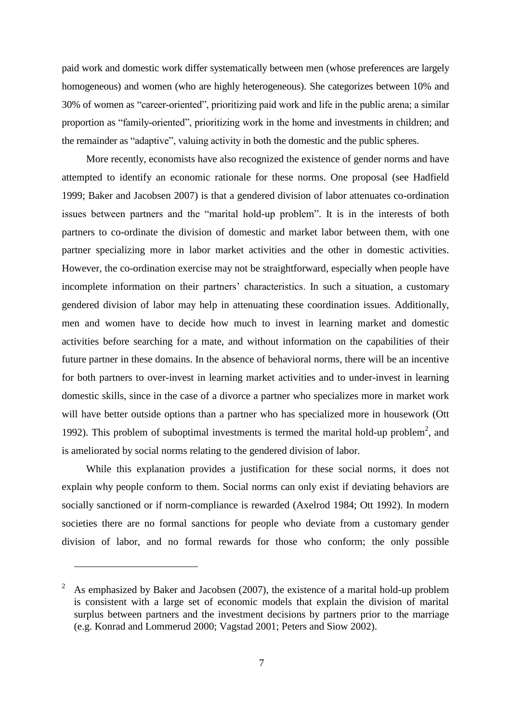paid work and domestic work differ systematically between men (whose preferences are largely homogeneous) and women (who are highly heterogeneous). She categorizes between 10% and 30% of women as "career-oriented", prioritizing paid work and life in the public arena; a similar proportion as "family-oriented", prioritizing work in the home and investments in children; and the remainder as "adaptive", valuing activity in both the domestic and the public spheres.

More recently, economists have also recognized the existence of gender norms and have attempted to identify an economic rationale for these norms. One proposal (see Hadfield 1999; Baker and Jacobsen 2007) is that a gendered division of labor attenuates co-ordination issues between partners and the "marital hold-up problem". It is in the interests of both partners to co-ordinate the division of domestic and market labor between them, with one partner specializing more in labor market activities and the other in domestic activities. However, the co-ordination exercise may not be straightforward, especially when people have incomplete information on their partners' characteristics. In such a situation, a customary gendered division of labor may help in attenuating these coordination issues. Additionally, men and women have to decide how much to invest in learning market and domestic activities before searching for a mate, and without information on the capabilities of their future partner in these domains. In the absence of behavioral norms, there will be an incentive for both partners to over-invest in learning market activities and to under-invest in learning domestic skills, since in the case of a divorce a partner who specializes more in market work will have better outside options than a partner who has specialized more in housework (Ott 1992). This problem of suboptimal investments is termed the marital hold-up problem<sup>2</sup>, and is ameliorated by social norms relating to the gendered division of labor.

While this explanation provides a justification for these social norms, it does not explain why people conform to them. Social norms can only exist if deviating behaviors are socially sanctioned or if norm-compliance is rewarded (Axelrod 1984; Ott 1992). In modern societies there are no formal sanctions for people who deviate from a customary gender division of labor, and no formal rewards for those who conform; the only possible

<sup>2</sup> As emphasized by Baker and Jacobsen (2007), the existence of a marital hold-up problem is consistent with a large set of economic models that explain the division of marital surplus between partners and the investment decisions by partners prior to the marriage (e.g. Konrad and Lommerud 2000; Vagstad 2001; Peters and Siow 2002).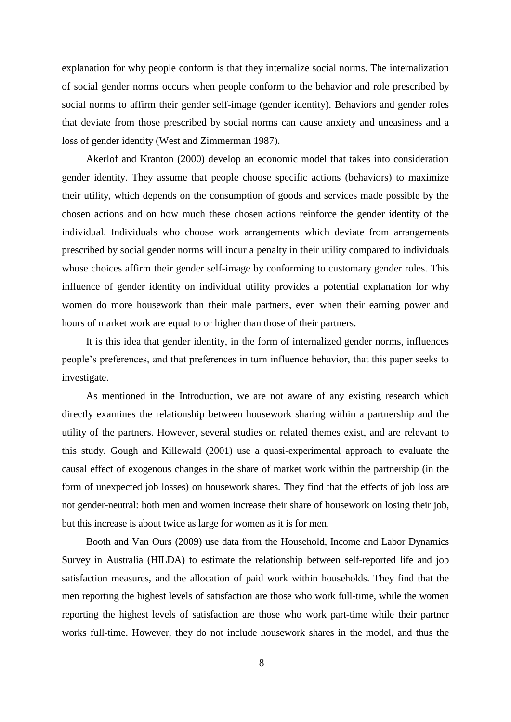explanation for why people conform is that they internalize social norms. The internalization of social gender norms occurs when people conform to the behavior and role prescribed by social norms to affirm their gender self-image (gender identity). Behaviors and gender roles that deviate from those prescribed by social norms can cause anxiety and uneasiness and a loss of gender identity (West and Zimmerman 1987).

Akerlof and Kranton (2000) develop an economic model that takes into consideration gender identity. They assume that people choose specific actions (behaviors) to maximize their utility, which depends on the consumption of goods and services made possible by the chosen actions and on how much these chosen actions reinforce the gender identity of the individual. Individuals who choose work arrangements which deviate from arrangements prescribed by social gender norms will incur a penalty in their utility compared to individuals whose choices affirm their gender self-image by conforming to customary gender roles. This influence of gender identity on individual utility provides a potential explanation for why women do more housework than their male partners, even when their earning power and hours of market work are equal to or higher than those of their partners.

It is this idea that gender identity, in the form of internalized gender norms, influences people's preferences, and that preferences in turn influence behavior, that this paper seeks to investigate.

As mentioned in the Introduction, we are not aware of any existing research which directly examines the relationship between housework sharing within a partnership and the utility of the partners. However, several studies on related themes exist, and are relevant to this study. Gough and Killewald (2001) use a quasi-experimental approach to evaluate the causal effect of exogenous changes in the share of market work within the partnership (in the form of unexpected job losses) on housework shares. They find that the effects of job loss are not gender-neutral: both men and women increase their share of housework on losing their job, but this increase is about twice as large for women as it is for men.

Booth and Van Ours (2009) use data from the Household, Income and Labor Dynamics Survey in Australia (HILDA) to estimate the relationship between self-reported life and job satisfaction measures, and the allocation of paid work within households. They find that the men reporting the highest levels of satisfaction are those who work full-time, while the women reporting the highest levels of satisfaction are those who work part-time while their partner works full-time. However, they do not include housework shares in the model, and thus the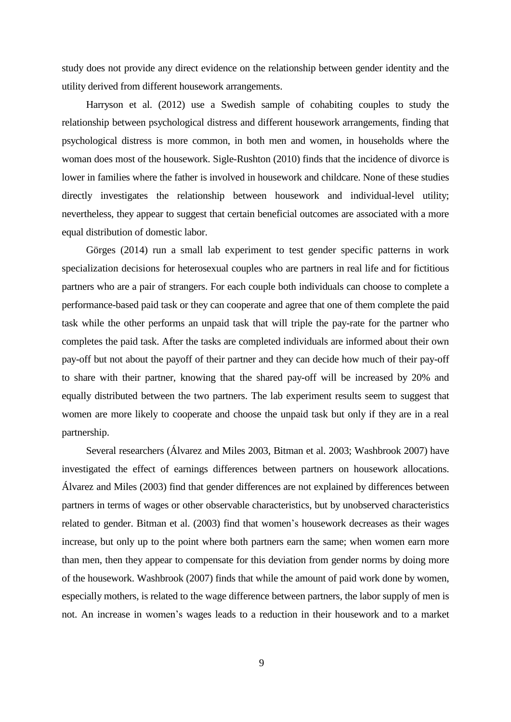study does not provide any direct evidence on the relationship between gender identity and the utility derived from different housework arrangements.

Harryson et al. (2012) use a Swedish sample of cohabiting couples to study the relationship between psychological distress and different housework arrangements, finding that psychological distress is more common, in both men and women, in households where the woman does most of the housework. Sigle-Rushton (2010) finds that the incidence of divorce is lower in families where the father is involved in housework and childcare. None of these studies directly investigates the relationship between housework and individual-level utility; nevertheless, they appear to suggest that certain beneficial outcomes are associated with a more equal distribution of domestic labor.

Görges (2014) run a small lab experiment to test gender specific patterns in work specialization decisions for heterosexual couples who are partners in real life and for fictitious partners who are a pair of strangers. For each couple both individuals can choose to complete a performance-based paid task or they can cooperate and agree that one of them complete the paid task while the other performs an unpaid task that will triple the pay-rate for the partner who completes the paid task. After the tasks are completed individuals are informed about their own pay-off but not about the payoff of their partner and they can decide how much of their pay-off to share with their partner, knowing that the shared pay-off will be increased by 20% and equally distributed between the two partners. The lab experiment results seem to suggest that women are more likely to cooperate and choose the unpaid task but only if they are in a real partnership.

Several researchers (Álvarez and Miles 2003, Bitman et al. 2003; Washbrook 2007) have investigated the effect of earnings differences between partners on housework allocations. Álvarez and Miles (2003) find that gender differences are not explained by differences between partners in terms of wages or other observable characteristics, but by unobserved characteristics related to gender. Bitman et al. (2003) find that women's housework decreases as their wages increase, but only up to the point where both partners earn the same; when women earn more than men, then they appear to compensate for this deviation from gender norms by doing more of the housework. Washbrook (2007) finds that while the amount of paid work done by women, especially mothers, is related to the wage difference between partners, the labor supply of men is not. An increase in women's wages leads to a reduction in their housework and to a market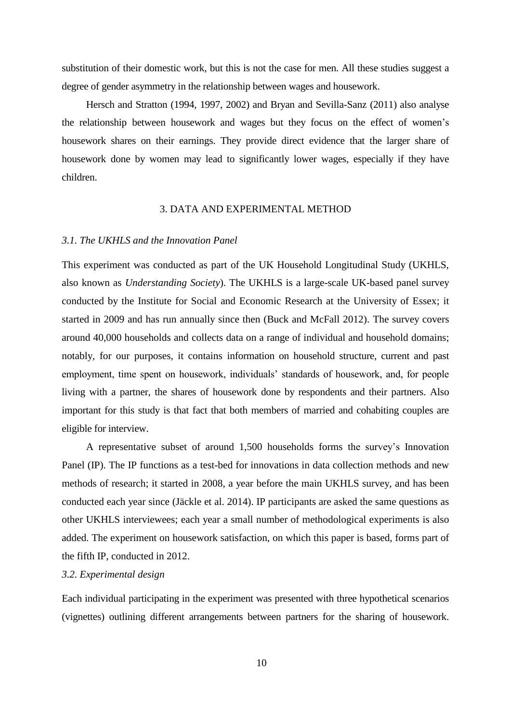substitution of their domestic work, but this is not the case for men. All these studies suggest a degree of gender asymmetry in the relationship between wages and housework.

Hersch and Stratton (1994, 1997, 2002) and Bryan and Sevilla-Sanz (2011) also analyse the relationship between housework and wages but they focus on the effect of women's housework shares on their earnings. They provide direct evidence that the larger share of housework done by women may lead to significantly lower wages, especially if they have children.

#### 3. DATA AND EXPERIMENTAL METHOD

#### *3.1. The UKHLS and the Innovation Panel*

This experiment was conducted as part of the UK Household Longitudinal Study (UKHLS, also known as *Understanding Society*). The UKHLS is a large-scale UK-based panel survey conducted by the Institute for Social and Economic Research at the University of Essex; it started in 2009 and has run annually since then (Buck and McFall 2012). The survey covers around 40,000 households and collects data on a range of individual and household domains; notably, for our purposes, it contains information on household structure, current and past employment, time spent on housework, individuals' standards of housework, and, for people living with a partner, the shares of housework done by respondents and their partners. Also important for this study is that fact that both members of married and cohabiting couples are eligible for interview.

A representative subset of around 1,500 households forms the survey's Innovation Panel (IP). The IP functions as a test-bed for innovations in data collection methods and new methods of research; it started in 2008, a year before the main UKHLS survey, and has been conducted each year since (Jäckle et al. 2014). IP participants are asked the same questions as other UKHLS interviewees; each year a small number of methodological experiments is also added. The experiment on housework satisfaction, on which this paper is based, forms part of the fifth IP, conducted in 2012.

#### *3.2. Experimental design*

Each individual participating in the experiment was presented with three hypothetical scenarios (vignettes) outlining different arrangements between partners for the sharing of housework.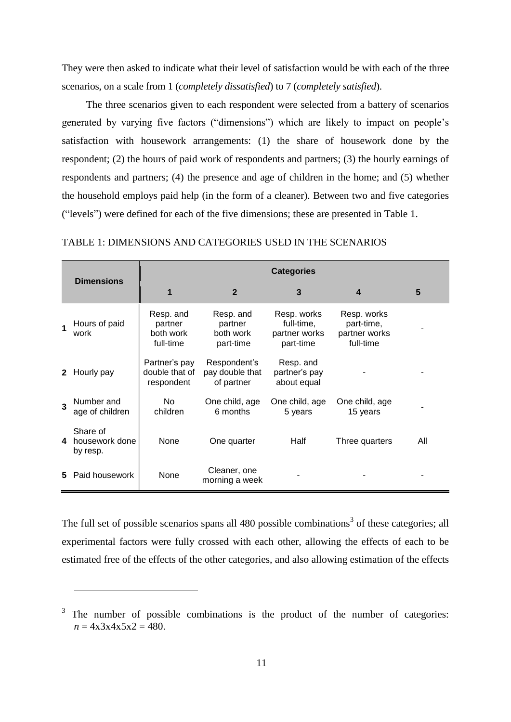They were then asked to indicate what their level of satisfaction would be with each of the three scenarios, on a scale from 1 (*completely dissatisfied*) to 7 (*completely satisfied*).

The three scenarios given to each respondent were selected from a battery of scenarios generated by varying five factors ("dimensions") which are likely to impact on people's satisfaction with housework arrangements: (1) the share of housework done by the respondent; (2) the hours of paid work of respondents and partners; (3) the hourly earnings of respondents and partners; (4) the presence and age of children in the home; and (5) whether the household employs paid help (in the form of a cleaner). Between two and five categories ("levels") were defined for each of the five dimensions; these are presented in Table 1.

|              |                                        | <b>Categories</b>                              |                                                |                                                         |                                                         |     |  |  |  |
|--------------|----------------------------------------|------------------------------------------------|------------------------------------------------|---------------------------------------------------------|---------------------------------------------------------|-----|--|--|--|
|              | <b>Dimensions</b>                      | 1                                              | $\overline{2}$                                 | 3                                                       | 4                                                       | 5   |  |  |  |
|              | Hours of paid<br>work                  | Resp. and<br>partner<br>both work<br>full-time | Resp. and<br>partner<br>both work<br>part-time | Resp. works<br>full-time,<br>partner works<br>part-time | Resp. works<br>part-time,<br>partner works<br>full-time |     |  |  |  |
| $\mathbf{2}$ | Hourly pay                             | Partner's pay<br>double that of<br>respondent  | Respondent's<br>pay double that<br>of partner  | Resp. and<br>partner's pay<br>about equal               |                                                         |     |  |  |  |
| 3            | Number and<br>age of children          | No.<br>children                                | One child, age<br>6 months                     | One child, age<br>5 years                               | One child, age<br>15 years                              |     |  |  |  |
| 4            | Share of<br>housework done<br>by resp. | None                                           | One quarter                                    | Half                                                    | Three quarters                                          | All |  |  |  |
| 5.           | Paid housework                         | None                                           | Cleaner, one<br>morning a week                 |                                                         |                                                         |     |  |  |  |

#### TABLE 1: DIMENSIONS AND CATEGORIES USED IN THE SCENARIOS

The full set of possible scenarios spans all 480 possible combinations<sup>3</sup> of these categories; all experimental factors were fully crossed with each other, allowing the effects of each to be estimated free of the effects of the other categories, and also allowing estimation of the effects

<sup>3</sup> The number of possible combinations is the product of the number of categories:  $n = 4 \times 3 \times 4 \times 5 \times 2 = 480$ .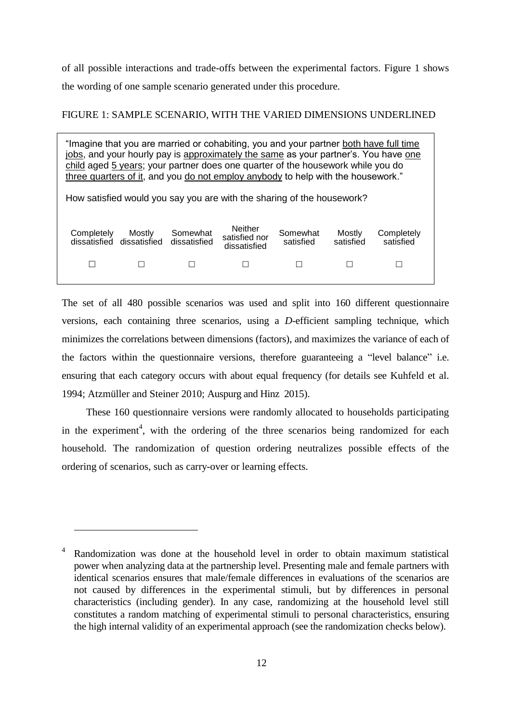of all possible interactions and trade-offs between the experimental factors. Figure 1 shows the wording of one sample scenario generated under this procedure.

#### FIGURE 1: SAMPLE SCENARIO, WITH THE VARIED DIMENSIONS UNDERLINED

| "Imagine that you are married or cohabiting, you and your partner both have full time<br>jobs, and your hourly pay is approximately the same as your partner's. You have one<br>child aged 5 years; your partner does one quarter of the housework while you do<br>three quarters of it, and you do not employ anybody to help with the housework." |                                                                        |  |  |  |  |  |  |  |
|-----------------------------------------------------------------------------------------------------------------------------------------------------------------------------------------------------------------------------------------------------------------------------------------------------------------------------------------------------|------------------------------------------------------------------------|--|--|--|--|--|--|--|
|                                                                                                                                                                                                                                                                                                                                                     | How satisfied would you say you are with the sharing of the housework? |  |  |  |  |  |  |  |
|                                                                                                                                                                                                                                                                                                                                                     |                                                                        |  |  |  |  |  |  |  |
| <b>Neither</b><br>Mostly<br>Completely<br>Somewhat<br>Somewhat<br>Mostly<br>Completely<br>satisfied nor<br>dissatisfied<br>satisfied<br>dissatisfied<br>dissatisfied<br>satisfied<br>satisfied<br>dissatisfied                                                                                                                                      |                                                                        |  |  |  |  |  |  |  |
|                                                                                                                                                                                                                                                                                                                                                     |                                                                        |  |  |  |  |  |  |  |
|                                                                                                                                                                                                                                                                                                                                                     |                                                                        |  |  |  |  |  |  |  |

The set of all 480 possible scenarios was used and split into 160 different questionnaire versions, each containing three scenarios, using a *D*-efficient sampling technique, which minimizes the correlations between dimensions (factors), and maximizes the variance of each of the factors within the questionnaire versions, therefore guaranteeing a "level balance" i.e. ensuring that each category occurs with about equal frequency (for details see Kuhfeld et al. 1994; Atzmüller and Steiner 2010; Auspurg and Hinz 2015).

These 160 questionnaire versions were randomly allocated to households participating in the experiment<sup>4</sup>, with the ordering of the three scenarios being randomized for each household. The randomization of question ordering neutralizes possible effects of the ordering of scenarios, such as carry-over or learning effects.

<sup>4</sup> Randomization was done at the household level in order to obtain maximum statistical power when analyzing data at the partnership level. Presenting male and female partners with identical scenarios ensures that male/female differences in evaluations of the scenarios are not caused by differences in the experimental stimuli, but by differences in personal characteristics (including gender). In any case, randomizing at the household level still constitutes a random matching of experimental stimuli to personal characteristics, ensuring the high internal validity of an experimental approach (see the randomization checks below).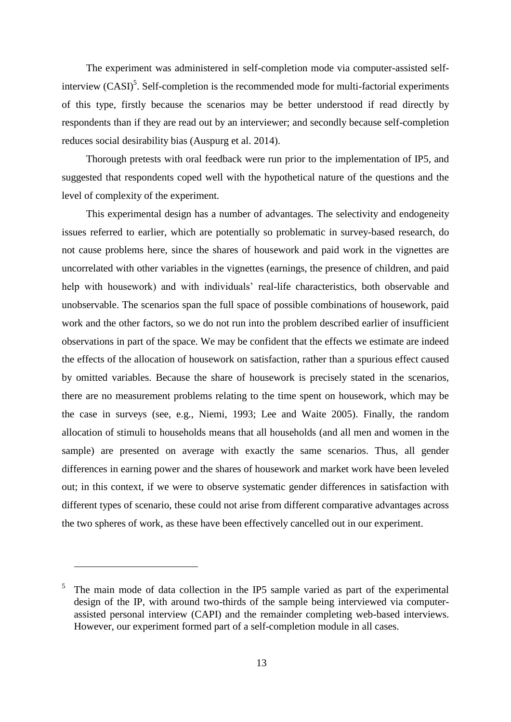The experiment was administered in self-completion mode via computer-assisted selfinterview  $(CASI)^5$ . Self-completion is the recommended mode for multi-factorial experiments of this type, firstly because the scenarios may be better understood if read directly by respondents than if they are read out by an interviewer; and secondly because self-completion reduces social desirability bias (Auspurg et al. 2014).

Thorough pretests with oral feedback were run prior to the implementation of IP5, and suggested that respondents coped well with the hypothetical nature of the questions and the level of complexity of the experiment.

This experimental design has a number of advantages. The selectivity and endogeneity issues referred to earlier, which are potentially so problematic in survey-based research, do not cause problems here, since the shares of housework and paid work in the vignettes are uncorrelated with other variables in the vignettes (earnings, the presence of children, and paid help with housework) and with individuals' real-life characteristics, both observable and unobservable. The scenarios span the full space of possible combinations of housework, paid work and the other factors, so we do not run into the problem described earlier of insufficient observations in part of the space. We may be confident that the effects we estimate are indeed the effects of the allocation of housework on satisfaction, rather than a spurious effect caused by omitted variables. Because the share of housework is precisely stated in the scenarios, there are no measurement problems relating to the time spent on housework, which may be the case in surveys (see, e.g., Niemi, 1993; Lee and Waite 2005). Finally, the random allocation of stimuli to households means that all households (and all men and women in the sample) are presented on average with exactly the same scenarios. Thus, all gender differences in earning power and the shares of housework and market work have been leveled out; in this context, if we were to observe systematic gender differences in satisfaction with different types of scenario, these could not arise from different comparative advantages across the two spheres of work, as these have been effectively cancelled out in our experiment.

<sup>5</sup> The main mode of data collection in the IP5 sample varied as part of the experimental design of the IP, with around two-thirds of the sample being interviewed via computerassisted personal interview (CAPI) and the remainder completing web-based interviews. However, our experiment formed part of a self-completion module in all cases.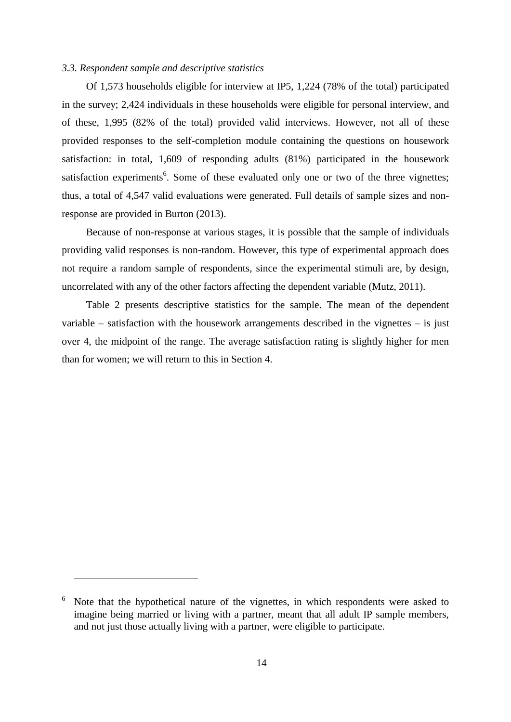#### *3.3. Respondent sample and descriptive statistics*

Of 1,573 households eligible for interview at IP5, 1,224 (78% of the total) participated in the survey; 2,424 individuals in these households were eligible for personal interview, and of these, 1,995 (82% of the total) provided valid interviews. However, not all of these provided responses to the self-completion module containing the questions on housework satisfaction: in total, 1,609 of responding adults (81%) participated in the housework satisfaction experiments<sup>6</sup>. Some of these evaluated only one or two of the three vignettes; thus, a total of 4,547 valid evaluations were generated. Full details of sample sizes and nonresponse are provided in Burton (2013).

Because of non-response at various stages, it is possible that the sample of individuals providing valid responses is non-random. However, this type of experimental approach does not require a random sample of respondents, since the experimental stimuli are, by design, uncorrelated with any of the other factors affecting the dependent variable (Mutz, 2011).

Table 2 presents descriptive statistics for the sample. The mean of the dependent variable – satisfaction with the housework arrangements described in the vignettes – is just over 4, the midpoint of the range. The average satisfaction rating is slightly higher for men than for women; we will return to this in Section 4.

<sup>6</sup> Note that the hypothetical nature of the vignettes, in which respondents were asked to imagine being married or living with a partner, meant that all adult IP sample members, and not just those actually living with a partner, were eligible to participate.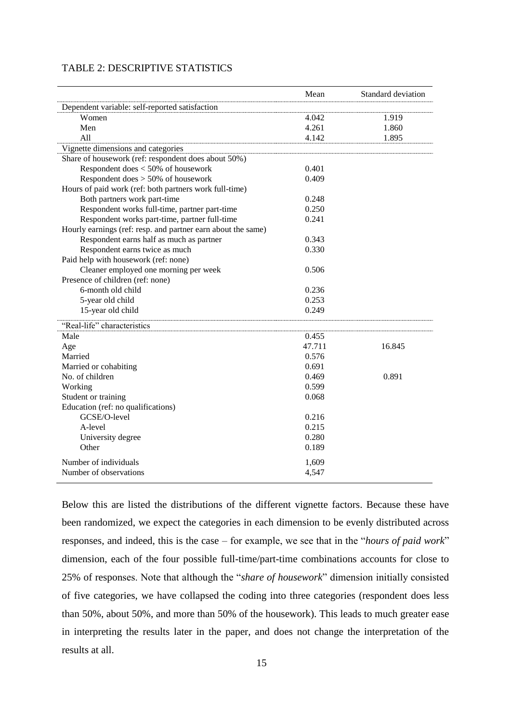| <b>TABLE 2: DESCRIPTIVE STATISTICS</b> |
|----------------------------------------|
|----------------------------------------|

|                                                              | Mean   | Standard deviation |
|--------------------------------------------------------------|--------|--------------------|
| Dependent variable: self-reported satisfaction               |        |                    |
| Women                                                        | 4.042  | 1.919              |
| Men                                                          | 4.261  | 1.860              |
| A11                                                          | 4.142  | 1.895              |
| Vignette dimensions and categories                           |        |                    |
| Share of housework (ref: respondent does about 50%)          |        |                    |
| Respondent does < 50% of housework                           | 0.401  |                    |
| Respondent does > 50% of housework                           | 0.409  |                    |
| Hours of paid work (ref: both partners work full-time)       |        |                    |
| Both partners work part-time                                 | 0.248  |                    |
| Respondent works full-time, partner part-time                | 0.250  |                    |
| Respondent works part-time, partner full-time                | 0.241  |                    |
| Hourly earnings (ref: resp. and partner earn about the same) |        |                    |
| Respondent earns half as much as partner                     | 0.343  |                    |
| Respondent earns twice as much                               | 0.330  |                    |
| Paid help with housework (ref: none)                         |        |                    |
| Cleaner employed one morning per week                        | 0.506  |                    |
| Presence of children (ref: none)                             |        |                    |
| 6-month old child                                            | 0.236  |                    |
| 5-year old child                                             | 0.253  |                    |
| 15-year old child                                            | 0.249  |                    |
| "Real-life" characteristics                                  |        |                    |
| Male                                                         | 0.455  |                    |
| Age                                                          | 47.711 | 16.845             |
| Married                                                      | 0.576  |                    |
| Married or cohabiting                                        | 0.691  |                    |
| No. of children                                              | 0.469  | 0.891              |
| Working                                                      | 0.599  |                    |
| Student or training                                          | 0.068  |                    |
| Education (ref: no qualifications)                           |        |                    |
| GCSE/O-level                                                 | 0.216  |                    |
| A-level                                                      | 0.215  |                    |
| University degree                                            | 0.280  |                    |
| Other                                                        | 0.189  |                    |
| Number of individuals                                        | 1,609  |                    |
| Number of observations                                       | 4,547  |                    |
|                                                              |        |                    |

Below this are listed the distributions of the different vignette factors. Because these have been randomized, we expect the categories in each dimension to be evenly distributed across responses, and indeed, this is the case – for example, we see that in the "*hours of paid work*" dimension, each of the four possible full-time/part-time combinations accounts for close to 25% of responses. Note that although the "*share of housework*" dimension initially consisted of five categories, we have collapsed the coding into three categories (respondent does less than 50%, about 50%, and more than 50% of the housework). This leads to much greater ease in interpreting the results later in the paper, and does not change the interpretation of the results at all.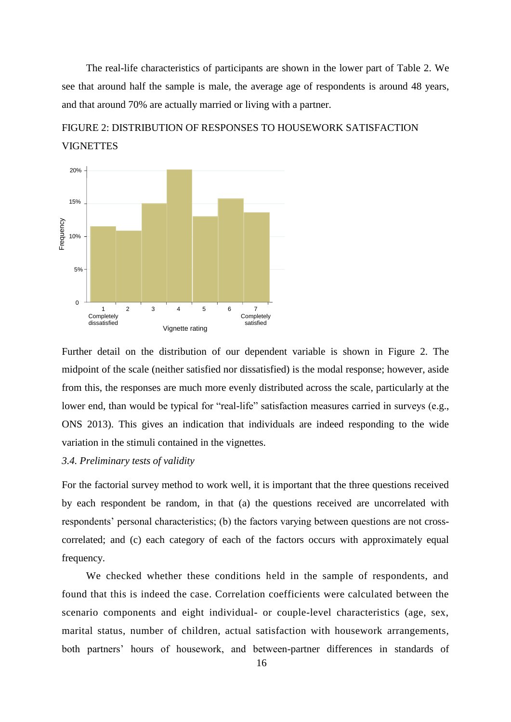The real-life characteristics of participants are shown in the lower part of Table 2. We see that around half the sample is male, the average age of respondents is around 48 years, and that around 70% are actually married or living with a partner.

# FIGURE 2: DISTRIBUTION OF RESPONSES TO HOUSEWORK SATISFACTION **VIGNETTES**



Further detail on the distribution of our dependent variable is shown in Figure 2. The midpoint of the scale (neither satisfied nor dissatisfied) is the modal response; however, aside from this, the responses are much more evenly distributed across the scale, particularly at the lower end, than would be typical for "real-life" satisfaction measures carried in surveys (e.g., ONS 2013). This gives an indication that individuals are indeed responding to the wide variation in the stimuli contained in the vignettes.

#### *3.4. Preliminary tests of validity*

For the factorial survey method to work well, it is important that the three questions received by each respondent be random, in that (a) the questions received are uncorrelated with respondents' personal characteristics; (b) the factors varying between questions are not crosscorrelated; and (c) each category of each of the factors occurs with approximately equal frequency.

We checked whether these conditions held in the sample of respondents, and found that this is indeed the case. Correlation coefficients were calculated between the scenario components and eight individual- or couple-level characteristics (age, sex, marital status, number of children, actual satisfaction with housework arrangements, both partners' hours of housework, and between-partner differences in standards of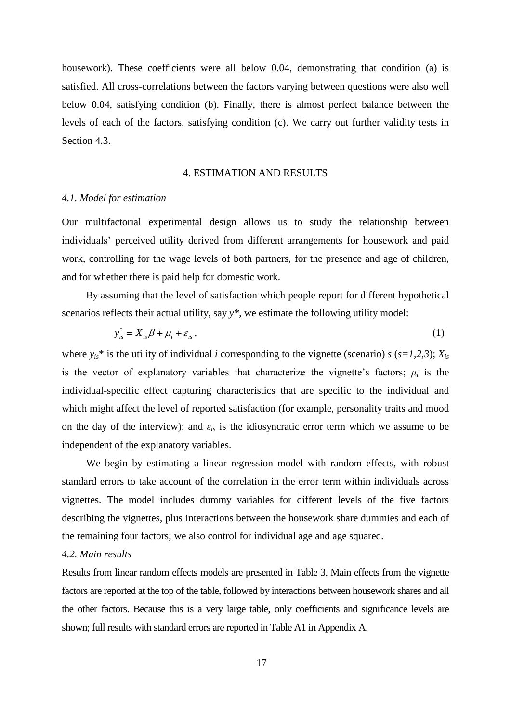housework). These coefficients were all below 0.04, demonstrating that condition (a) is satisfied. All cross-correlations between the factors varying between questions were also well below 0.04, satisfying condition (b). Finally, there is almost perfect balance between the levels of each of the factors, satisfying condition (c). We carry out further validity tests in Section 4.3.

#### 4. ESTIMATION AND RESULTS

#### *4.1. Model for estimation*

Our multifactorial experimental design allows us to study the relationship between individuals' perceived utility derived from different arrangements for housework and paid work, controlling for the wage levels of both partners, for the presence and age of children, and for whether there is paid help for domestic work.

By assuming that the level of satisfaction which people report for different hypothetical scenarios reflects their actual utility, say *y\**, we estimate the following utility model:

$$
y_{is}^* = X_{is}\beta + \mu_i + \varepsilon_{is},\tag{1}
$$

where  $y_{is}$ <sup>\*</sup> is the utility of individual *i* corresponding to the vignette (scenario) *s* ( $s=1,2,3$ );  $X_{is}$ is the vector of explanatory variables that characterize the vignette's factors;  $\mu_i$  is the individual-specific effect capturing characteristics that are specific to the individual and which might affect the level of reported satisfaction (for example, personality traits and mood on the day of the interview); and  $\varepsilon_{is}$  is the idiosyncratic error term which we assume to be independent of the explanatory variables.

We begin by estimating a linear regression model with random effects, with robust standard errors to take account of the correlation in the error term within individuals across vignettes. The model includes dummy variables for different levels of the five factors describing the vignettes, plus interactions between the housework share dummies and each of the remaining four factors; we also control for individual age and age squared.

#### *4.2. Main results*

Results from linear random effects models are presented in Table 3. Main effects from the vignette factors are reported at the top of the table, followed by interactions between housework shares and all the other factors. Because this is a very large table, only coefficients and significance levels are shown; full results with standard errors are reported in Table A1 in Appendix A.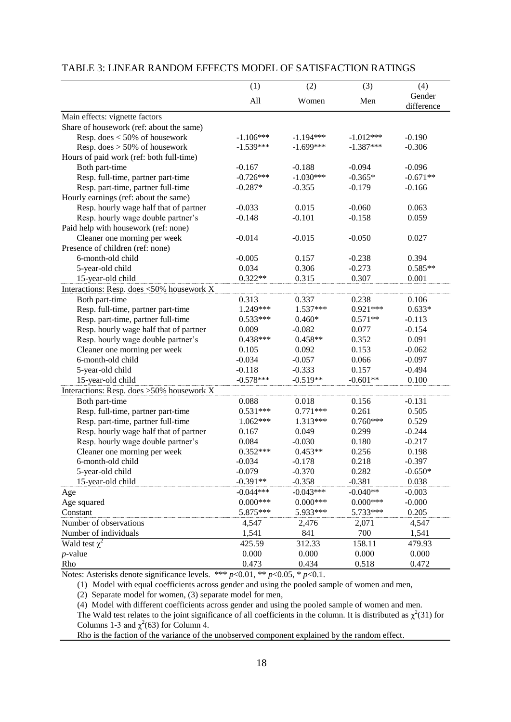|                                           | (1)         | (2)         | (3)         | (4)                  |
|-------------------------------------------|-------------|-------------|-------------|----------------------|
|                                           | All         | Women       | Men         | Gender<br>difference |
| Main effects: vignette factors            |             |             |             |                      |
| Share of housework (ref: about the same)  |             |             |             |                      |
| Resp. does $<$ 50% of housework           | $-1.106***$ | $-1.194***$ | $-1.012***$ | $-0.190$             |
| Resp. does $> 50\%$ of housework          | $-1.539***$ | $-1.699***$ | $-1.387***$ | $-0.306$             |
| Hours of paid work (ref: both full-time)  |             |             |             |                      |
| Both part-time                            | $-0.167$    | $-0.188$    | $-0.094$    | $-0.096$             |
| Resp. full-time, partner part-time        | $-0.726***$ | $-1.030***$ | $-0.365*$   | $-0.671**$           |
| Resp. part-time, partner full-time        | $-0.287*$   | $-0.355$    | $-0.179$    | $-0.166$             |
| Hourly earnings (ref: about the same)     |             |             |             |                      |
| Resp. hourly wage half that of partner    | $-0.033$    | 0.015       | $-0.060$    | 0.063                |
| Resp. hourly wage double partner's        | $-0.148$    | $-0.101$    | $-0.158$    | 0.059                |
| Paid help with housework (ref: none)      |             |             |             |                      |
| Cleaner one morning per week              | $-0.014$    | $-0.015$    | $-0.050$    | 0.027                |
| Presence of children (ref: none)          |             |             |             |                      |
| 6-month-old child                         | $-0.005$    | 0.157       | $-0.238$    | 0.394                |
| 5-year-old child                          | 0.034       | 0.306       | $-0.273$    | $0.585**$            |
| 15-year-old child                         | $0.322**$   | 0.315       | 0.307       | 0.001                |
| Interactions: Resp. does <50% housework X |             |             |             |                      |
| Both part-time                            | 0.313       | 0.337       | 0.238       | 0.106                |
| Resp. full-time, partner part-time        | 1.249***    | 1.537***    | $0.921***$  | $0.633*$             |
| Resp. part-time, partner full-time        | $0.533***$  | $0.460*$    | $0.571**$   | $-0.113$             |
| Resp. hourly wage half that of partner    | 0.009       | $-0.082$    | 0.077       | $-0.154$             |
| Resp. hourly wage double partner's        | $0.438***$  | $0.458**$   | 0.352       | 0.091                |
| Cleaner one morning per week              | 0.105       | 0.092       | 0.153       | $-0.062$             |
| 6-month-old child                         | $-0.034$    | $-0.057$    | 0.066       | $-0.097$             |
| 5-year-old child                          | $-0.118$    | $-0.333$    | 0.157       | $-0.494$             |
| 15-year-old child                         | $-0.578***$ | $-0.519**$  | $-0.601**$  | 0.100                |
| Interactions: Resp. does >50% housework X |             |             |             |                      |
| Both part-time                            | 0.088       | 0.018       | 0.156       | $-0.131$             |
| Resp. full-time, partner part-time        | $0.531***$  | $0.771***$  | 0.261       | 0.505                |
| Resp. part-time, partner full-time        | $1.062***$  | 1.313***    | $0.760***$  | 0.529                |
| Resp. hourly wage half that of partner    | 0.167       | 0.049       | 0.299       | $-0.244$             |
| Resp. hourly wage double partner's        | 0.084       | $-0.030$    | 0.180       | $-0.217$             |
| Cleaner one morning per week              | $0.352***$  | $0.453**$   | 0.256       | 0.198                |
| 6-month-old child                         | $-0.034$    | $-0.178$    | 0.218       | $-0.397$             |
| 5-year-old child                          | $-0.079$    | $-0.370$    | 0.282       | $-0.650*$            |
| 15-year-old child                         | $-0.391**$  | $-0.358$    | $-0.381$    | 0.038                |
| Age                                       | $-0.044***$ | $-0.043***$ | $-0.040**$  | $-0.003$             |
| Age squared                               | $0.000***$  | $0.000***$  | $0.000***$  | $-0.000$             |
| Constant                                  | 5.875***    | 5.933***    | 5.733***    | 0.205                |
| Number of observations                    | 4,547       | 2,476       | 2,071       | 4,547                |
| Number of individuals                     | 1,541       | 841         | 700         | 1,541                |
|                                           | 425.59      | 312.33      | 158.11      | 479.93               |
| Wald test $\chi^2$                        | 0.000       | 0.000       |             |                      |
| $p$ -value                                |             |             | 0.000       | 0.000                |
| Rho                                       | 0.473       | 0.434       | 0.518       | 0.472                |

#### TABLE 3: LINEAR RANDOM EFFECTS MODEL OF SATISFACTION RATINGS

Notes: Asterisks denote significance levels. \*\*\* *p*<0.01, \*\* *p*<0.05, \* *p*<0.1.

(1) Model with equal coefficients across gender and using the pooled sample of women and men,

(2) Separate model for women, (3) separate model for men,

(4) Model with different coefficients across gender and using the pooled sample of women and men.

The Wald test relates to the joint significance of all coefficients in the column. It is distributed as  $\chi^2(31)$  for Columns 1-3 and  $\chi^2$ (63) for Column 4.

Rho is the faction of the variance of the unobserved component explained by the random effect.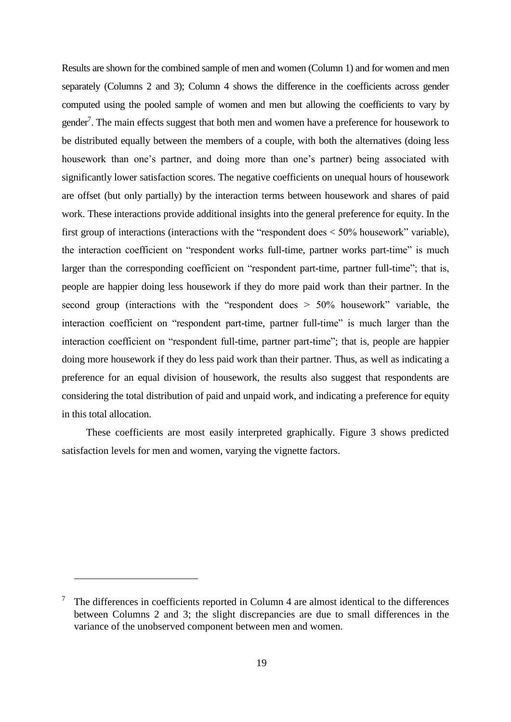Results are shown for the combined sample of men and women (Column 1) and for women and men separately (Columns 2 and 3); Column 4 shows the difference in the coefficients across gender computed using the pooled sample of women and men but allowing the coefficients to vary by gender<sup>7</sup>. The main effects suggest that both men and women have a preference for housework to be distributed equally between the members of a couple, with both the alternatives (doing less housework than one's partner, and doing more than one's partner) being associated with significantly lower satisfaction scores. The negative coefficients on unequal hours of housework are offset (but only partially) by the interaction terms between housework and shares of paid work. These interactions provide additional insights into the general preference for equity. In the first group of interactions (interactions with the "respondent does < 50% housework" variable), the interaction coefficient on "respondent works full-time, partner works part-time" is much larger than the corresponding coefficient on "respondent part-time, partner full-time"; that is, people are happier doing less housework if they do more paid work than their partner. In the second group (interactions with the "respondent does > 50% housework" variable, the interaction coefficient on "respondent part-time, partner full-time" is much larger than the interaction coefficient on "respondent full-time, partner part-time"; that is, people are happier doing more housework if they do less paid work than their partner. Thus, as well as indicating a preference for an equal division of housework, the results also suggest that respondents are considering the total distribution of paid and unpaid work, and indicating a preference for equity in this total allocation.

These coefficients are most easily interpreted graphically. Figure 3 shows predicted satisfaction levels for men and women, varying the vignette factors.

<sup>7</sup> The differences in coefficients reported in Column 4 are almost identical to the differences between Columns 2 and 3; the slight discrepancies are due to small differences in the variance of the unobserved component between men and women.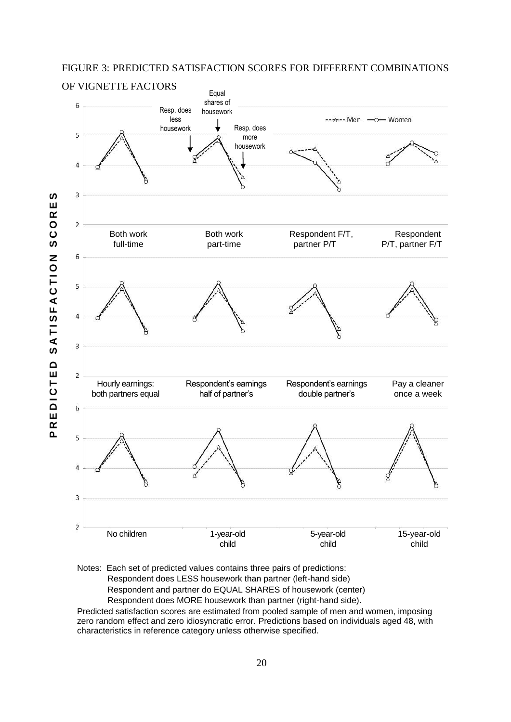#### FIGURE 3: PREDICTED SATISFACTION SCORES FOR DIFFERENT COMBINATIONS



Notes: Each set of predicted values contains three pairs of predictions: Respondent does LESS housework than partner (left-hand side) Respondent and partner do EQUAL SHARES of housework (center) Respondent does MORE housework than partner (right-hand side).

Predicted satisfaction scores are estimated from pooled sample of men and women, imposing zero random effect and zero idiosyncratic error. Predictions based on individuals aged 48, with characteristics in reference category unless otherwise specified.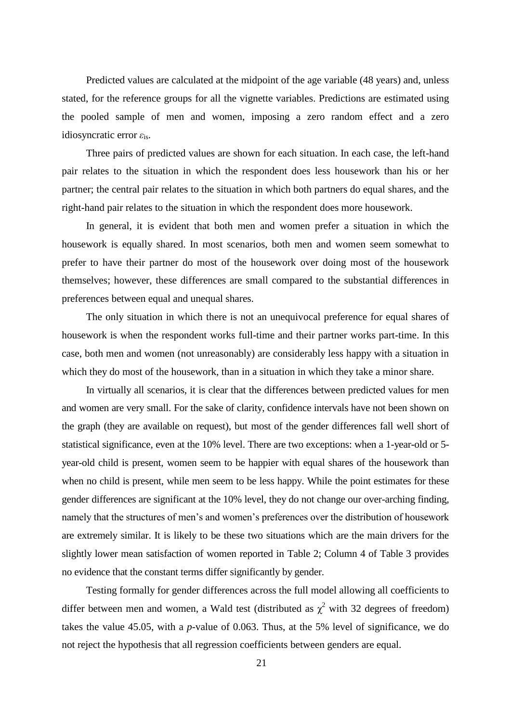Predicted values are calculated at the midpoint of the age variable (48 years) and, unless stated, for the reference groups for all the vignette variables. Predictions are estimated using the pooled sample of men and women, imposing a zero random effect and a zero idiosyncratic error *ε*is.

Three pairs of predicted values are shown for each situation. In each case, the left-hand pair relates to the situation in which the respondent does less housework than his or her partner; the central pair relates to the situation in which both partners do equal shares, and the right-hand pair relates to the situation in which the respondent does more housework.

In general, it is evident that both men and women prefer a situation in which the housework is equally shared. In most scenarios, both men and women seem somewhat to prefer to have their partner do most of the housework over doing most of the housework themselves; however, these differences are small compared to the substantial differences in preferences between equal and unequal shares.

The only situation in which there is not an unequivocal preference for equal shares of housework is when the respondent works full-time and their partner works part-time. In this case, both men and women (not unreasonably) are considerably less happy with a situation in which they do most of the housework, than in a situation in which they take a minor share.

In virtually all scenarios, it is clear that the differences between predicted values for men and women are very small. For the sake of clarity, confidence intervals have not been shown on the graph (they are available on request), but most of the gender differences fall well short of statistical significance, even at the 10% level. There are two exceptions: when a 1-year-old or 5 year-old child is present, women seem to be happier with equal shares of the housework than when no child is present, while men seem to be less happy. While the point estimates for these gender differences are significant at the 10% level, they do not change our over-arching finding, namely that the structures of men's and women's preferences over the distribution of housework are extremely similar. It is likely to be these two situations which are the main drivers for the slightly lower mean satisfaction of women reported in Table 2; Column 4 of Table 3 provides no evidence that the constant terms differ significantly by gender.

Testing formally for gender differences across the full model allowing all coefficients to differ between men and women, a Wald test (distributed as  $\chi^2$  with 32 degrees of freedom) takes the value 45.05, with a *p*-value of 0.063. Thus, at the 5% level of significance, we do not reject the hypothesis that all regression coefficients between genders are equal.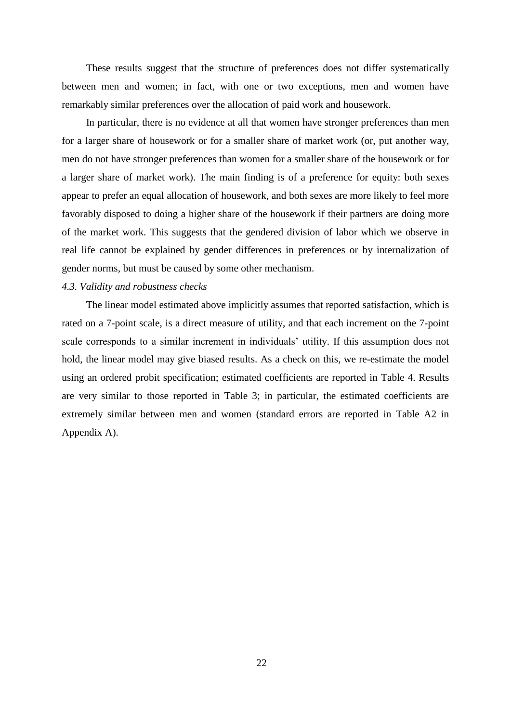These results suggest that the structure of preferences does not differ systematically between men and women; in fact, with one or two exceptions, men and women have remarkably similar preferences over the allocation of paid work and housework.

In particular, there is no evidence at all that women have stronger preferences than men for a larger share of housework or for a smaller share of market work (or, put another way, men do not have stronger preferences than women for a smaller share of the housework or for a larger share of market work). The main finding is of a preference for equity: both sexes appear to prefer an equal allocation of housework, and both sexes are more likely to feel more favorably disposed to doing a higher share of the housework if their partners are doing more of the market work. This suggests that the gendered division of labor which we observe in real life cannot be explained by gender differences in preferences or by internalization of gender norms, but must be caused by some other mechanism.

#### *4.3. Validity and robustness checks*

The linear model estimated above implicitly assumes that reported satisfaction, which is rated on a 7-point scale, is a direct measure of utility, and that each increment on the 7-point scale corresponds to a similar increment in individuals' utility. If this assumption does not hold, the linear model may give biased results. As a check on this, we re-estimate the model using an ordered probit specification; estimated coefficients are reported in Table 4. Results are very similar to those reported in Table 3; in particular, the estimated coefficients are extremely similar between men and women (standard errors are reported in Table A2 in Appendix A).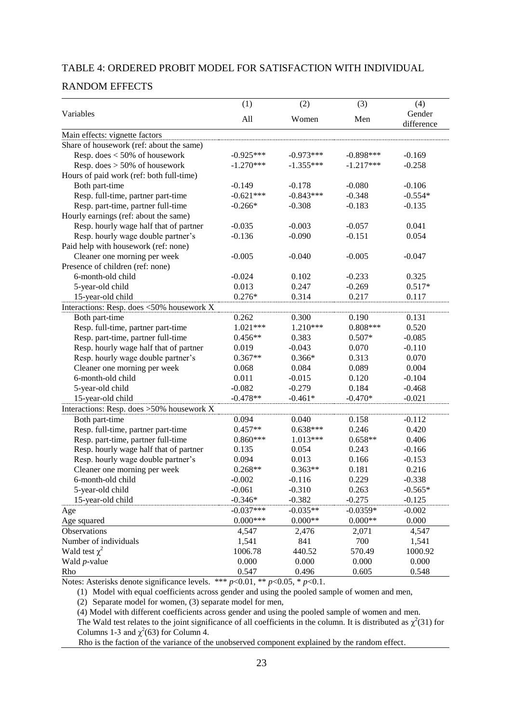#### TABLE 4: ORDERED PROBIT MODEL FOR SATISFACTION WITH INDIVIDUAL

#### RANDOM EFFECTS

|                                           | (1)         | (2)         | (3)         | (4)                  |
|-------------------------------------------|-------------|-------------|-------------|----------------------|
| Variables                                 | All         | Women       | Men         | Gender<br>difference |
| Main effects: vignette factors            |             |             |             |                      |
| Share of housework (ref: about the same)  |             |             |             |                      |
| Resp. does $<$ 50% of housework           | $-0.925***$ | $-0.973***$ | $-0.898***$ | $-0.169$             |
| Resp. does $> 50\%$ of housework          | $-1.270***$ | $-1.355***$ | $-1.217***$ | $-0.258$             |
| Hours of paid work (ref: both full-time)  |             |             |             |                      |
| Both part-time                            | $-0.149$    | $-0.178$    | $-0.080$    | $-0.106$             |
| Resp. full-time, partner part-time        | $-0.621***$ | $-0.843***$ | $-0.348$    | $-0.554*$            |
| Resp. part-time, partner full-time        | $-0.266*$   | $-0.308$    | $-0.183$    | $-0.135$             |
| Hourly earnings (ref: about the same)     |             |             |             |                      |
| Resp. hourly wage half that of partner    | $-0.035$    | $-0.003$    | $-0.057$    | 0.041                |
| Resp. hourly wage double partner's        | $-0.136$    | $-0.090$    | $-0.151$    | 0.054                |
| Paid help with housework (ref: none)      |             |             |             |                      |
| Cleaner one morning per week              | $-0.005$    | $-0.040$    | $-0.005$    | $-0.047$             |
| Presence of children (ref: none)          |             |             |             |                      |
| 6-month-old child                         | $-0.024$    | 0.102       | $-0.233$    | 0.325                |
| 5-year-old child                          | 0.013       | 0.247       | $-0.269$    | $0.517*$             |
| 15-year-old child                         | $0.276*$    | 0.314       | 0.217       | 0.117                |
| Interactions: Resp. does <50% housework X |             |             |             |                      |
| Both part-time                            | 0.262       | 0.300       | 0.190       | 0.131                |
| Resp. full-time, partner part-time        | $1.021***$  | 1.210***    | $0.808***$  | 0.520                |
| Resp. part-time, partner full-time        | $0.456**$   | 0.383       | $0.507*$    | $-0.085$             |
| Resp. hourly wage half that of partner    | 0.019       | $-0.043$    | 0.070       | $-0.110$             |
| Resp. hourly wage double partner's        | $0.367**$   | $0.366*$    | 0.313       | 0.070                |
| Cleaner one morning per week              | 0.068       | 0.084       | 0.089       | 0.004                |
| 6-month-old child                         | 0.011       | $-0.015$    | 0.120       | $-0.104$             |
| 5-year-old child                          | $-0.082$    | $-0.279$    | 0.184       | $-0.468$             |
| 15-year-old child                         | $-0.478**$  | $-0.461*$   | $-0.470*$   | $-0.021$             |
| Interactions: Resp. does >50% housework X |             |             |             |                      |
| Both part-time                            | 0.094       | 0.040       | 0.158       | $-0.112$             |
| Resp. full-time, partner part-time        | $0.457**$   | $0.638***$  | 0.246       | 0.420                |
| Resp. part-time, partner full-time        | $0.860***$  | $1.013***$  | $0.658**$   | 0.406                |
| Resp. hourly wage half that of partner    | 0.135       | 0.054       | 0.243       | $-0.166$             |
| Resp. hourly wage double partner's        | 0.094       | 0.013       | 0.166       | $-0.153$             |
| Cleaner one morning per week              | $0.268**$   | $0.363**$   | 0.181       | 0.216                |
| 6-month-old child                         | $-0.002$    | $-0.116$    | 0.229       | $-0.338$             |
| 5-year-old child                          | $-0.061$    | $-0.310$    | 0.263       | $-0.565*$            |
| 15-year-old child                         | $-0.346*$   | $-0.382$    | $-0.275$    | $-0.125$             |
| Age                                       | $-0.037***$ | $-0.035**$  | $-0.0359*$  | $-0.002$             |
| Age squared                               | $0.000***$  | $0.000**$   | $0.000**$   | 0.000                |
| Observations                              | 4,547       | 2,476       | 2,071       | 4,547                |
| Number of individuals                     | 1,541       | 841         | 700         | 1,541                |
| Wald test $\chi^2$                        | 1006.78     | 440.52      | 570.49      | 1000.92              |
| Wald $p$ -value                           | 0.000       | 0.000       | 0.000       | 0.000                |
| Rho                                       | 0.547       | 0.496       | 0.605       | 0.548                |

Notes: Asterisks denote significance levels. \*\*\* *p*<0.01, \*\* *p*<0.05, \* *p*<0.1.

(1) Model with equal coefficients across gender and using the pooled sample of women and men,

(2) Separate model for women, (3) separate model for men,

(4) Model with different coefficients across gender and using the pooled sample of women and men.

The Wald test relates to the joint significance of all coefficients in the column. It is distributed as  $\chi^2(31)$  for Columns 1-3 and  $\chi^2$ (63) for Column 4.

Rho is the faction of the variance of the unobserved component explained by the random effect.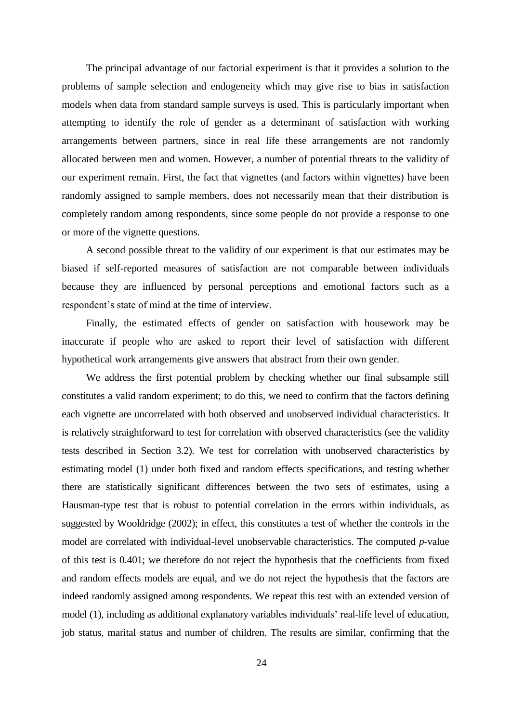The principal advantage of our factorial experiment is that it provides a solution to the problems of sample selection and endogeneity which may give rise to bias in satisfaction models when data from standard sample surveys is used. This is particularly important when attempting to identify the role of gender as a determinant of satisfaction with working arrangements between partners, since in real life these arrangements are not randomly allocated between men and women. However, a number of potential threats to the validity of our experiment remain. First, the fact that vignettes (and factors within vignettes) have been randomly assigned to sample members, does not necessarily mean that their distribution is completely random among respondents, since some people do not provide a response to one or more of the vignette questions.

A second possible threat to the validity of our experiment is that our estimates may be biased if self-reported measures of satisfaction are not comparable between individuals because they are influenced by personal perceptions and emotional factors such as a respondent's state of mind at the time of interview.

Finally, the estimated effects of gender on satisfaction with housework may be inaccurate if people who are asked to report their level of satisfaction with different hypothetical work arrangements give answers that abstract from their own gender.

We address the first potential problem by checking whether our final subsample still constitutes a valid random experiment; to do this, we need to confirm that the factors defining each vignette are uncorrelated with both observed and unobserved individual characteristics. It is relatively straightforward to test for correlation with observed characteristics (see the validity tests described in Section 3.2). We test for correlation with unobserved characteristics by estimating model (1) under both fixed and random effects specifications, and testing whether there are statistically significant differences between the two sets of estimates, using a Hausman-type test that is robust to potential correlation in the errors within individuals, as suggested by Wooldridge (2002); in effect, this constitutes a test of whether the controls in the model are correlated with individual-level unobservable characteristics. The computed *p*-value of this test is 0.401; we therefore do not reject the hypothesis that the coefficients from fixed and random effects models are equal, and we do not reject the hypothesis that the factors are indeed randomly assigned among respondents. We repeat this test with an extended version of model (1), including as additional explanatory variables individuals' real-life level of education, job status, marital status and number of children. The results are similar, confirming that the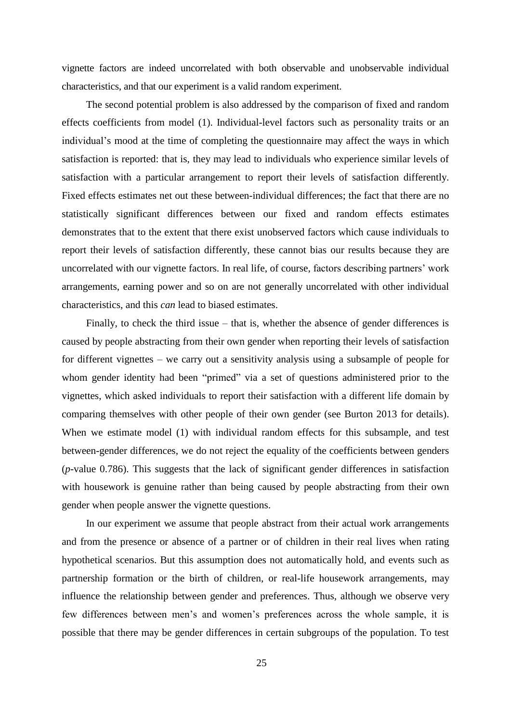vignette factors are indeed uncorrelated with both observable and unobservable individual characteristics, and that our experiment is a valid random experiment.

The second potential problem is also addressed by the comparison of fixed and random effects coefficients from model (1). Individual-level factors such as personality traits or an individual's mood at the time of completing the questionnaire may affect the ways in which satisfaction is reported: that is, they may lead to individuals who experience similar levels of satisfaction with a particular arrangement to report their levels of satisfaction differently. Fixed effects estimates net out these between-individual differences; the fact that there are no statistically significant differences between our fixed and random effects estimates demonstrates that to the extent that there exist unobserved factors which cause individuals to report their levels of satisfaction differently, these cannot bias our results because they are uncorrelated with our vignette factors. In real life, of course, factors describing partners' work arrangements, earning power and so on are not generally uncorrelated with other individual characteristics, and this *can* lead to biased estimates.

Finally, to check the third issue – that is, whether the absence of gender differences is caused by people abstracting from their own gender when reporting their levels of satisfaction for different vignettes – we carry out a sensitivity analysis using a subsample of people for whom gender identity had been "primed" via a set of questions administered prior to the vignettes, which asked individuals to report their satisfaction with a different life domain by comparing themselves with other people of their own gender (see Burton 2013 for details). When we estimate model (1) with individual random effects for this subsample, and test between-gender differences, we do not reject the equality of the coefficients between genders (*p*-value 0.786). This suggests that the lack of significant gender differences in satisfaction with housework is genuine rather than being caused by people abstracting from their own gender when people answer the vignette questions.

In our experiment we assume that people abstract from their actual work arrangements and from the presence or absence of a partner or of children in their real lives when rating hypothetical scenarios. But this assumption does not automatically hold, and events such as partnership formation or the birth of children, or real-life housework arrangements, may influence the relationship between gender and preferences. Thus, although we observe very few differences between men's and women's preferences across the whole sample, it is possible that there may be gender differences in certain subgroups of the population. To test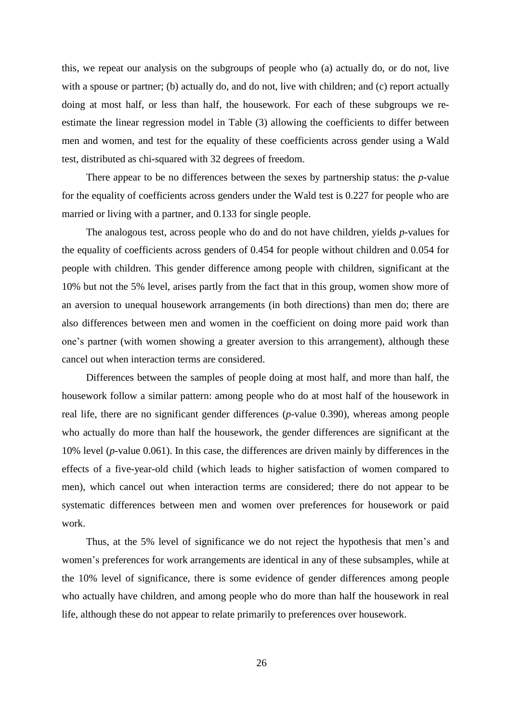this, we repeat our analysis on the subgroups of people who (a) actually do, or do not, live with a spouse or partner; (b) actually do, and do not, live with children; and (c) report actually doing at most half, or less than half, the housework. For each of these subgroups we reestimate the linear regression model in Table (3) allowing the coefficients to differ between men and women, and test for the equality of these coefficients across gender using a Wald test, distributed as chi-squared with 32 degrees of freedom.

There appear to be no differences between the sexes by partnership status: the *p*-value for the equality of coefficients across genders under the Wald test is 0.227 for people who are married or living with a partner, and 0.133 for single people.

The analogous test, across people who do and do not have children, yields *p*-values for the equality of coefficients across genders of 0.454 for people without children and 0.054 for people with children. This gender difference among people with children, significant at the 10% but not the 5% level, arises partly from the fact that in this group, women show more of an aversion to unequal housework arrangements (in both directions) than men do; there are also differences between men and women in the coefficient on doing more paid work than one's partner (with women showing a greater aversion to this arrangement), although these cancel out when interaction terms are considered.

Differences between the samples of people doing at most half, and more than half, the housework follow a similar pattern: among people who do at most half of the housework in real life, there are no significant gender differences (*p*-value 0.390), whereas among people who actually do more than half the housework, the gender differences are significant at the 10% level (*p*-value 0.061). In this case, the differences are driven mainly by differences in the effects of a five-year-old child (which leads to higher satisfaction of women compared to men), which cancel out when interaction terms are considered; there do not appear to be systematic differences between men and women over preferences for housework or paid work.

Thus, at the 5% level of significance we do not reject the hypothesis that men's and women's preferences for work arrangements are identical in any of these subsamples, while at the 10% level of significance, there is some evidence of gender differences among people who actually have children, and among people who do more than half the housework in real life, although these do not appear to relate primarily to preferences over housework.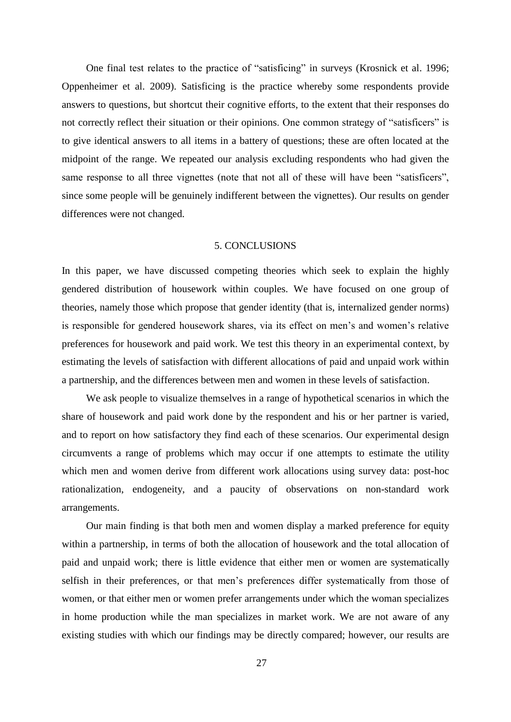One final test relates to the practice of "satisficing" in surveys (Krosnick et al. 1996; Oppenheimer et al. 2009). Satisficing is the practice whereby some respondents provide answers to questions, but shortcut their cognitive efforts, to the extent that their responses do not correctly reflect their situation or their opinions. One common strategy of "satisficers" is to give identical answers to all items in a battery of questions; these are often located at the midpoint of the range. We repeated our analysis excluding respondents who had given the same response to all three vignettes (note that not all of these will have been "satisficers", since some people will be genuinely indifferent between the vignettes). Our results on gender differences were not changed.

#### 5. CONCLUSIONS

In this paper, we have discussed competing theories which seek to explain the highly gendered distribution of housework within couples. We have focused on one group of theories, namely those which propose that gender identity (that is, internalized gender norms) is responsible for gendered housework shares, via its effect on men's and women's relative preferences for housework and paid work. We test this theory in an experimental context, by estimating the levels of satisfaction with different allocations of paid and unpaid work within a partnership, and the differences between men and women in these levels of satisfaction.

We ask people to visualize themselves in a range of hypothetical scenarios in which the share of housework and paid work done by the respondent and his or her partner is varied, and to report on how satisfactory they find each of these scenarios. Our experimental design circumvents a range of problems which may occur if one attempts to estimate the utility which men and women derive from different work allocations using survey data: post-hoc rationalization, endogeneity, and a paucity of observations on non-standard work arrangements.

Our main finding is that both men and women display a marked preference for equity within a partnership, in terms of both the allocation of housework and the total allocation of paid and unpaid work; there is little evidence that either men or women are systematically selfish in their preferences, or that men's preferences differ systematically from those of women, or that either men or women prefer arrangements under which the woman specializes in home production while the man specializes in market work. We are not aware of any existing studies with which our findings may be directly compared; however, our results are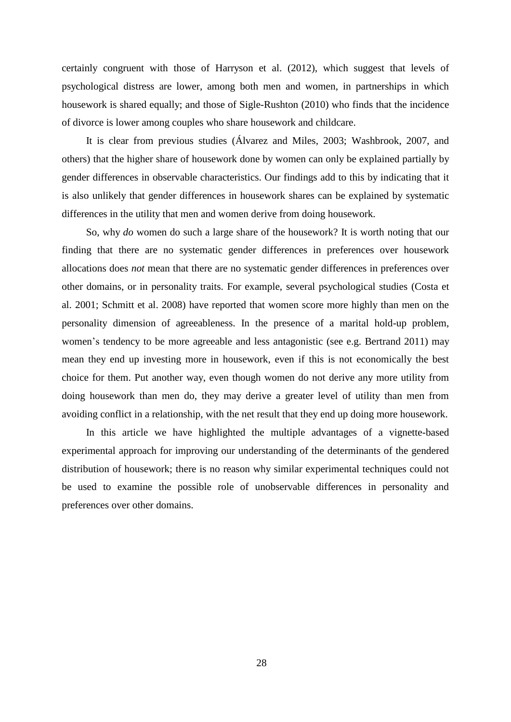certainly congruent with those of Harryson et al. (2012), which suggest that levels of psychological distress are lower, among both men and women, in partnerships in which housework is shared equally; and those of Sigle-Rushton (2010) who finds that the incidence of divorce is lower among couples who share housework and childcare.

It is clear from previous studies (Álvarez and Miles, 2003; Washbrook, 2007, and others) that the higher share of housework done by women can only be explained partially by gender differences in observable characteristics. Our findings add to this by indicating that it is also unlikely that gender differences in housework shares can be explained by systematic differences in the utility that men and women derive from doing housework.

So, why *do* women do such a large share of the housework? It is worth noting that our finding that there are no systematic gender differences in preferences over housework allocations does *not* mean that there are no systematic gender differences in preferences over other domains, or in personality traits. For example, several psychological studies (Costa et al. 2001; Schmitt et al. 2008) have reported that women score more highly than men on the personality dimension of agreeableness. In the presence of a marital hold-up problem, women's tendency to be more agreeable and less antagonistic (see e.g. Bertrand 2011) may mean they end up investing more in housework, even if this is not economically the best choice for them. Put another way, even though women do not derive any more utility from doing housework than men do, they may derive a greater level of utility than men from avoiding conflict in a relationship, with the net result that they end up doing more housework.

In this article we have highlighted the multiple advantages of a vignette-based experimental approach for improving our understanding of the determinants of the gendered distribution of housework; there is no reason why similar experimental techniques could not be used to examine the possible role of unobservable differences in personality and preferences over other domains.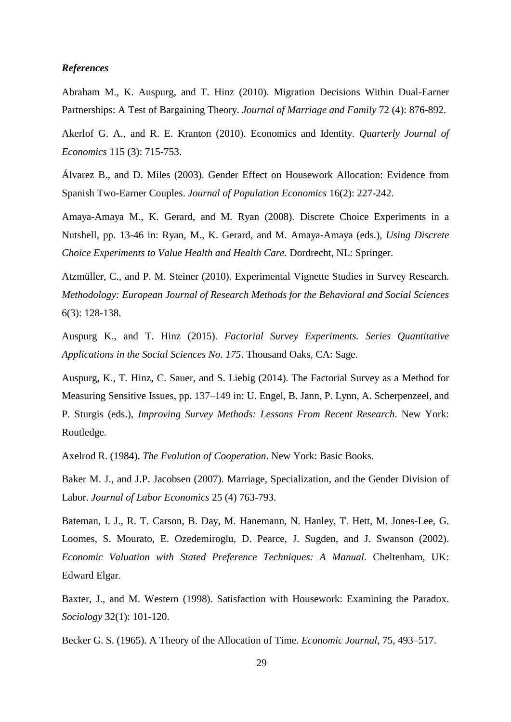#### *References*

Abraham M., K. Auspurg, and T. Hinz (2010). Migration Decisions Within Dual-Earner Partnerships: A Test of Bargaining Theory. *Journal of Marriage and Family* 72 (4): 876-892.

Akerlof G. A., and R. E. Kranton (2010). Economics and Identity. *Quarterly Journal of Economics* 115 (3): 715-753.

Álvarez B., and D. Miles (2003). Gender Effect on Housework Allocation: Evidence from Spanish Two-Earner Couples. *Journal of Population Economics* 16(2): 227-242.

Amaya-Amaya M., K. Gerard, and M. Ryan (2008). Discrete Choice Experiments in a Nutshell, pp. 13-46 in: Ryan, M., K. Gerard, and M. Amaya-Amaya (eds.), *Using Discrete Choice Experiments to Value Health and Health Care.* Dordrecht, NL: Springer.

Atzmüller, C., and P. M. Steiner (2010). Experimental Vignette Studies in Survey Research. *Methodology: European Journal of Research Methods for the Behavioral and Social Sciences* 6(3): 128-138.

Auspurg K., and T. Hinz (2015). *Factorial Survey Experiments. Series Quantitative Applications in the Social Sciences No. 175*. Thousand Oaks, CA: Sage.

Auspurg, K., T. Hinz, C. Sauer, and S. Liebig (2014). The Factorial Survey as a Method for Measuring Sensitive Issues, pp. 137–149 in: U. Engel, B. Jann, P. Lynn, A. Scherpenzeel, and P. Sturgis (eds.), *Improving Survey Methods: Lessons From Recent Research*. New York: Routledge.

Axelrod R. (1984). *The Evolution of Cooperation*. New York: Basic Books.

Baker M. J., and J.P. Jacobsen (2007). Marriage, Specialization, and the Gender Division of Labor. *Journal of Labor Economics* 25 (4) 763-793.

Bateman, I. J., R. T. Carson, B. Day, M. Hanemann, N. Hanley, T. Hett, M. Jones-Lee, G. Loomes, S. Mourato, E. Ozedemiroglu, D. Pearce, J. Sugden, and J. Swanson (2002). *Economic Valuation with Stated Preference Techniques: A Manual*. Cheltenham, UK: Edward Elgar.

Baxter, J., and M. Western (1998). Satisfaction with Housework: Examining the Paradox. *Sociology* 32(1): 101-120.

Becker G. S. (1965). A Theory of the Allocation of Time. *Economic Journal*, 75, 493–517.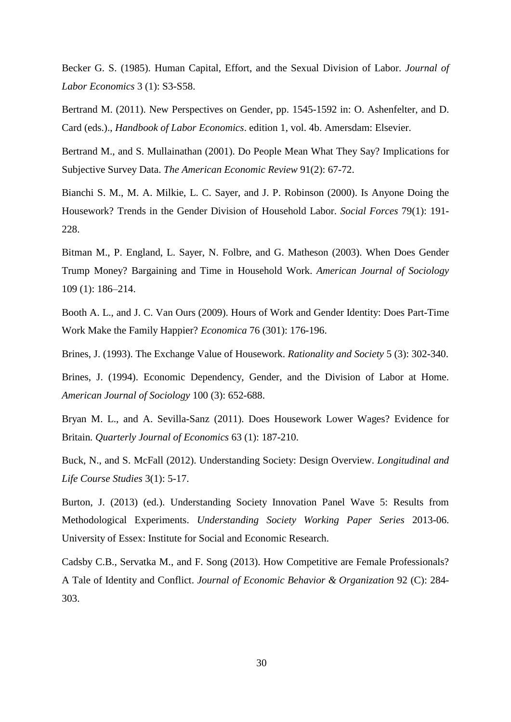Becker G. S. (1985). Human Capital, Effort, and the Sexual Division of Labor. *Journal of Labor Economics* 3 (1): S3-S58.

Bertrand M. (2011). New Perspectives on Gender, pp. 1545-1592 in: O. Ashenfelter, and D. Card (eds.)., *[Handbook of Labor Economics](http://ideas.repec.org/b/eee/labhes/5.html)*. edition 1, vol. 4b. Amersdam: Elsevier.

Bertrand M., and S. Mullainathan (2001). Do People Mean What They Say? Implications for Subjective Survey Data. *The American Economic Review* 91(2): 67-72.

Bianchi S. M., M. A. Milkie, L. C. Sayer, and J. P. Robinson (2000). Is Anyone Doing the Housework? Trends in the Gender Division of Household Labor. *Social Forces* 79(1): 191- 228.

Bitman M., P. England, L. Sayer, N. Folbre, and G. Matheson (2003). When Does Gender Trump Money? Bargaining and Time in Household Work. *American Journal of Sociology* 109 (1): 186–214.

Booth A. L., and J. C. Van Ours (2009). Hours of Work and Gender Identity: Does Part-Time Work Make the Family Happier? *Economica* 76 (301): 176-196.

Brines, J. (1993). The Exchange Value of Housework. *Rationality and Society* 5 (3): 302-340.

Brines, J. (1994). Economic Dependency, Gender, and the Division of Labor at Home. *American Journal of Sociology* 100 (3): 652-688.

Bryan M. L., and A. Sevilla-Sanz (2011). Does Housework Lower Wages? Evidence for Britain*. Quarterly Journal of Economics* 63 (1): 187-210.

Buck, N., and S. McFall (2012). Understanding Society: Design Overview. *Longitudinal and Life Course Studies* 3(1): 5-17.

Burton, J. (2013) (ed.). Understanding Society Innovation Panel Wave 5: Results from Methodological Experiments. *Understanding Society Working Paper Series* 2013-06. University of Essex: Institute for Social and Economic Research.

Cadsby C.B., Servatka M., and F. Song (2013). How Competitive are Female Professionals? A Tale of Identity and Conflict. *Journal of Economic Behavior & Organization* 92 (C): 284- 303.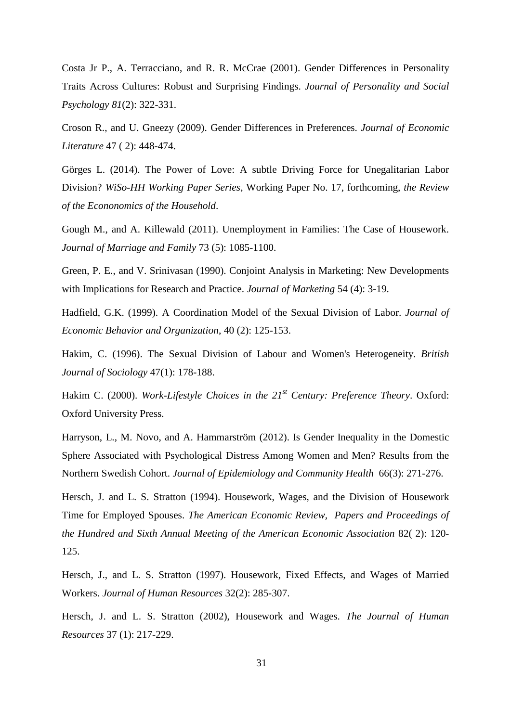Costa Jr P., A. Terracciano, and R. R. McCrae (2001). Gender Differences in Personality Traits Across Cultures: Robust and Surprising Findings. *Journal of Personality and Social Psychology 81*(2): 322-331.

Croson R., and U. Gneezy (2009). Gender Differences in Preferences. *Journal of Economic Literature* 47 ( 2): 448-474.

Görges L. (2014). The Power of Love: A subtle Driving Force for Unegalitarian Labor Division? *WiSo-HH Working Paper Series*, Working Paper No. 17, forthcoming, *the Review of the Econonomics of the Household*.

Gough M., and A. Killewald (2011). Unemployment in Families: The Case of Housework. *Journal of Marriage and Family* 73 (5): 1085-1100.

Green, P. E., and V. Srinivasan (1990). Conjoint Analysis in Marketing: New Developments with Implications for Research and Practice. *Journal of Marketing* 54 (4): 3-19.

Hadfield, G.K. (1999). A Coordination Model of the Sexual Division of Labor. *Journal of Economic Behavior and Organization*, 40 (2): 125-153.

Hakim, C. (1996). The Sexual Division of Labour and Women's Heterogeneity. *British Journal of Sociology* 47(1): 178-188.

Hakim C. (2000). *Work-Lifestyle Choices in the 21st Century: Preference Theory*. Oxford: Oxford University Press.

Harryson, L., M. Novo, and A. Hammarström (2012). Is Gender Inequality in the Domestic Sphere Associated with Psychological Distress Among Women and Men? Results from the Northern Swedish Cohort. *Journal of Epidemiology and Community Health* 66(3): 271-276.

Hersch, J. and L. S. Stratton (1994). Housework, Wages, and the Division of Housework Time for Employed Spouses. *The American Economic Review, Papers and Proceedings of the Hundred and Sixth Annual Meeting of the American Economic Association* 82( 2): 120- 125.

Hersch, J., and L. S. Stratton (1997). Housework, Fixed Effects, and Wages of Married Workers. *Journal of Human Resources* 32(2): 285-307.

Hersch, J. and L. S. Stratton (2002), Housework and Wages. *The Journal of Human Resources* 37 (1): 217-229.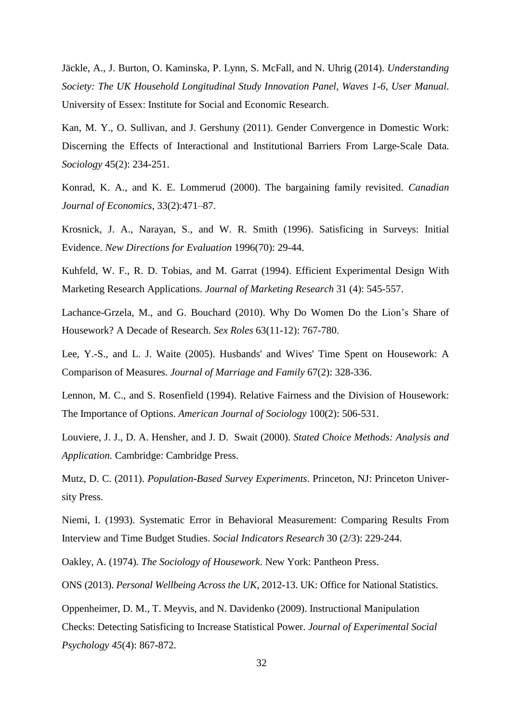Jäckle, A., J. Burton, O. Kaminska, P. Lynn, S. McFall, and N. Uhrig (2014). *Understanding Society: The UK Household Longitudinal Study Innovation Panel, Waves 1-6, User Manual*. University of Essex: Institute for Social and Economic Research.

Kan, M. Y., O. Sullivan, and J. Gershuny (2011). Gender Convergence in Domestic Work: Discerning the Effects of Interactional and Institutional Barriers From Large-Scale Data. *Sociology* 45(2): 234-251.

Konrad, K. A., and K. E. Lommerud (2000). The bargaining family revisited. *Canadian Journal of Economics*, 33(2):471–87.

Krosnick, J. A., Narayan, S., and W. R. Smith (1996). Satisficing in Surveys: Initial Evidence. *New Directions for Evaluation* 1996(70): 29-44.

Kuhfeld, W. F., R. D. Tobias, and M. Garrat (1994). Efficient Experimental Design With Marketing Research Applications. *Journal of Marketing Research* 31 (4): 545-557.

Lachance-Grzela, M., and G. Bouchard (2010). Why Do Women Do the Lion's Share of Housework? A Decade of Research. *Sex Roles* 63(11-12): 767-780.

Lee, Y.-S., and L. J. Waite (2005). Husbands' and Wives' Time Spent on Housework: A Comparison of Measures. *Journal of Marriage and Family* 67(2): 328-336.

Lennon, M. C., and S. Rosenfield (1994). Relative Fairness and the Division of Housework: The Importance of Options. *American Journal of Sociology* 100(2): 506-531.

Louviere, J. J., D. A. Hensher, and J. D. Swait (2000). *Stated Choice Methods: Analysis and Application.* Cambridge: Cambridge Press.

Mutz, D. C. (2011). *Population-Based Survey Experiments*. Princeton, NJ: Princeton University Press.

Niemi, I. (1993). Systematic Error in Behavioral Measurement: Comparing Results From Interview and Time Budget Studies. *Social Indicators Research* 30 (2/3): 229-244.

Oakley, A. (1974). *The Sociology of Housework*. New York: Pantheon Press.

ONS (2013). *Personal Wellbeing Across the UK*, 2012-13. UK: Office for National Statistics.

Oppenheimer, D. M., T. Meyvis, and N. Davidenko (2009). Instructional Manipulation Checks: Detecting Satisficing to Increase Statistical Power. *Journal of Experimental Social Psychology 45*(4): 867-872.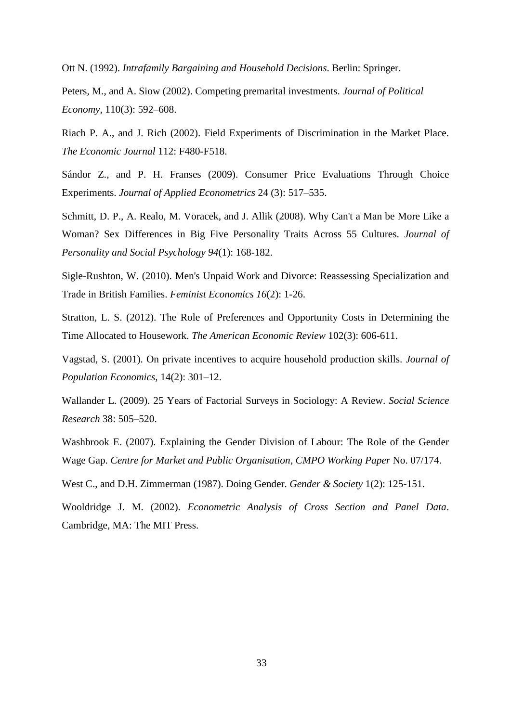Ott N. (1992). *Intrafamily Bargaining and Household Decisions*. Berlin: Springer.

Peters, M., and A. Siow (2002). Competing premarital investments. *Journal of Political Economy*, 110(3): 592–608.

Riach P. A., and J. Rich (2002). Field Experiments of Discrimination in the Market Place. *The Economic Journal* 112: F480-F518.

Sándor Z., and P. H. Franses (2009). Consumer Price Evaluations Through Choice Experiments. *Journal of Applied Econometrics* 24 (3): 517–535.

Schmitt, D. P., A. Realo, M. Voracek, and J. Allik (2008). Why Can't a Man be More Like a Woman? Sex Differences in Big Five Personality Traits Across 55 Cultures. *Journal of Personality and Social Psychology 94*(1): 168-182.

Sigle-Rushton, W. (2010). Men's Unpaid Work and Divorce: Reassessing Specialization and Trade in British Families. *Feminist Economics 16*(2): 1-26.

Stratton, L. S. (2012). The Role of Preferences and Opportunity Costs in Determining the Time Allocated to Housework. *The American Economic Review* 102(3): 606-611.

Vagstad, S. (2001). On private incentives to acquire household production skills. *Journal of Population Economics*, 14(2): 301–12.

Wallander L. (2009). 25 Years of Factorial Surveys in Sociology: A Review. *Social Science Research* 38: 505–520.

Washbrook E. (2007). Explaining the Gender Division of Labour: The Role of the Gender Wage Gap. *Centre for Market and Public Organisation*, *CMPO Working Paper* No. 07/174.

West C., and D.H. Zimmerman (1987). Doing Gender. *Gender & Society* 1(2): 125-151.

Wooldridge J. M. (2002). *Econometric Analysis of Cross Section and Panel Data*. Cambridge, MA: The MIT Press.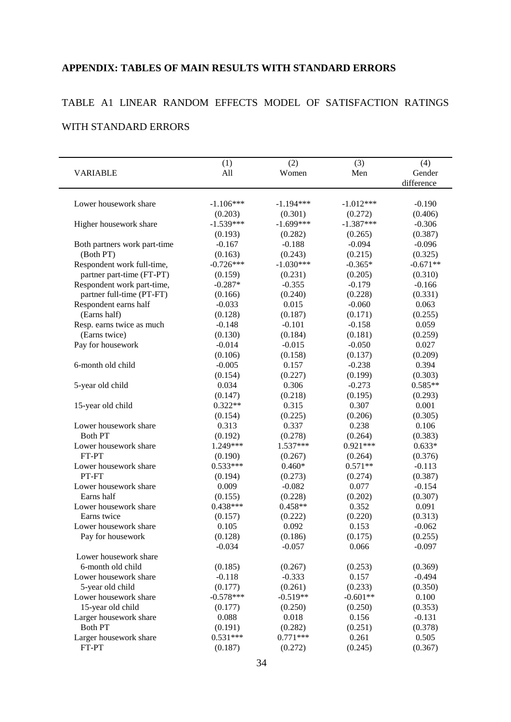### **APPENDIX: TABLES OF MAIN RESULTS WITH STANDARD ERRORS**

# TABLE A1 LINEAR RANDOM EFFECTS MODEL OF SATISFACTION RATINGS

### WITH STANDARD ERRORS

| <b>VARIABLE</b>              | (1)<br>All  | (2)<br>Women | (3)<br>Men  | (4)<br>Gender |
|------------------------------|-------------|--------------|-------------|---------------|
|                              |             |              |             | difference    |
|                              |             |              |             |               |
| Lower housework share        | $-1.106***$ | $-1.194***$  | $-1.012***$ | $-0.190$      |
|                              | (0.203)     | (0.301)      | (0.272)     | (0.406)       |
| Higher housework share       | $-1.539***$ | $-1.699***$  | $-1.387***$ | $-0.306$      |
|                              | (0.193)     | (0.282)      | (0.265)     | (0.387)       |
| Both partners work part-time | $-0.167$    | $-0.188$     | $-0.094$    | $-0.096$      |
| (Both PT)                    | (0.163)     | (0.243)      | (0.215)     | (0.325)       |
| Respondent work full-time,   | $-0.726***$ | $-1.030***$  | $-0.365*$   | $-0.671**$    |
| partner part-time (FT-PT)    | (0.159)     | (0.231)      | (0.205)     | (0.310)       |
| Respondent work part-time,   | $-0.287*$   | $-0.355$     | $-0.179$    | $-0.166$      |
| partner full-time (PT-FT)    | (0.166)     | (0.240)      | (0.228)     | (0.331)       |
| Respondent earns half        | $-0.033$    | 0.015        | $-0.060$    | 0.063         |
| (Earns half)                 | (0.128)     | (0.187)      | (0.171)     | (0.255)       |
| Resp. earns twice as much    | $-0.148$    | $-0.101$     | $-0.158$    | 0.059         |
| (Earns twice)                | (0.130)     | (0.184)      | (0.181)     | (0.259)       |
| Pay for housework            | $-0.014$    | $-0.015$     | $-0.050$    | 0.027         |
|                              | (0.106)     | (0.158)      | (0.137)     | (0.209)       |
| 6-month old child            | $-0.005$    | 0.157        | $-0.238$    | 0.394         |
|                              | (0.154)     | (0.227)      | (0.199)     | (0.303)       |
| 5-year old child             | 0.034       | 0.306        | $-0.273$    | $0.585**$     |
|                              | (0.147)     | (0.218)      | (0.195)     | (0.293)       |
| 15-year old child            | $0.322**$   | 0.315        | 0.307       | 0.001         |
|                              | (0.154)     | (0.225)      | (0.206)     | (0.305)       |
| Lower housework share        | 0.313       | 0.337        | 0.238       | 0.106         |
| <b>Both PT</b>               | (0.192)     | (0.278)      | (0.264)     | (0.383)       |
| Lower housework share        | 1.249***    | 1.537***     | $0.921***$  | $0.633*$      |
| FT-PT                        | (0.190)     | (0.267)      | (0.264)     | (0.376)       |
| Lower housework share        | $0.533***$  | $0.460*$     | $0.571**$   | $-0.113$      |
| PT-FT                        | (0.194)     | (0.273)      | (0.274)     | (0.387)       |
| Lower housework share        | 0.009       | $-0.082$     | 0.077       | $-0.154$      |
| Earns half                   | (0.155)     | (0.228)      | (0.202)     | (0.307)       |
| Lower housework share        | $0.438***$  | $0.458**$    | 0.352       | 0.091         |
| Earns twice                  | (0.157)     | (0.222)      | (0.220)     | (0.313)       |
| Lower housework share        | 0.105       | 0.092        | 0.153       | $-0.062$      |
| Pay for housework            | (0.128)     | (0.186)      | (0.175)     | (0.255)       |
|                              | $-0.034$    | $-0.057$     | 0.066       | $-0.097$      |
| Lower housework share        |             |              |             |               |
| 6-month old child            | (0.185)     | (0.267)      | (0.253)     | (0.369)       |
| Lower housework share        | $-0.118$    | $-0.333$     | 0.157       | $-0.494$      |
| 5-year old child             | (0.177)     | (0.261)      | (0.233)     | (0.350)       |
| Lower housework share        | $-0.578***$ | $-0.519**$   | $-0.601**$  | 0.100         |
| 15-year old child            | (0.177)     | (0.250)      | (0.250)     | (0.353)       |
| Larger housework share       | 0.088       | 0.018        | 0.156       | $-0.131$      |
| <b>Both PT</b>               | (0.191)     | (0.282)      | (0.251)     | (0.378)       |
| Larger housework share       | $0.531***$  | $0.771***$   | 0.261       | 0.505         |
| FT-PT                        | (0.187)     | (0.272)      | (0.245)     | (0.367)       |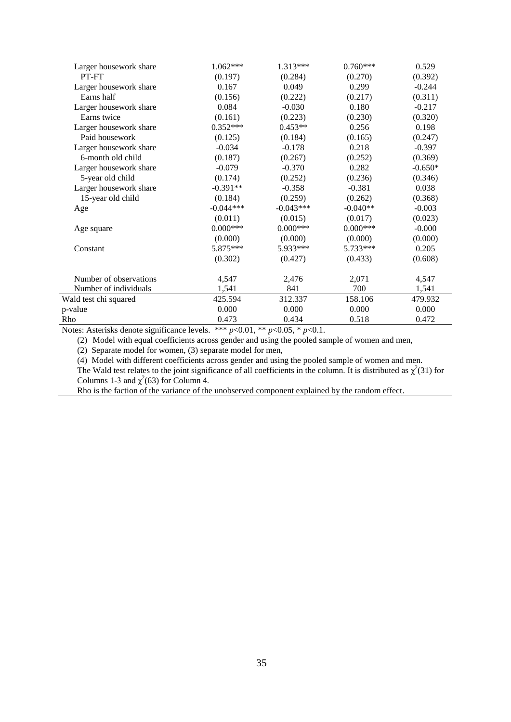| Larger housework share | 1.062***    | 1.313***    | $0.760***$ | 0.529     |
|------------------------|-------------|-------------|------------|-----------|
| PT-FT                  | (0.197)     | (0.284)     | (0.270)    | (0.392)   |
| Larger housework share | 0.167       | 0.049       | 0.299      | $-0.244$  |
| Earns half             | (0.156)     | (0.222)     | (0.217)    | (0.311)   |
| Larger housework share | 0.084       | $-0.030$    | 0.180      | $-0.217$  |
| Earns twice            | (0.161)     | (0.223)     | (0.230)    | (0.320)   |
| Larger housework share | $0.352***$  | $0.453**$   | 0.256      | 0.198     |
| Paid housework         | (0.125)     | (0.184)     | (0.165)    | (0.247)   |
| Larger housework share | $-0.034$    | $-0.178$    | 0.218      | $-0.397$  |
| 6-month old child      | (0.187)     | (0.267)     | (0.252)    | (0.369)   |
| Larger housework share | $-0.079$    | $-0.370$    | 0.282      | $-0.650*$ |
| 5-year old child       | (0.174)     | (0.252)     | (0.236)    | (0.346)   |
| Larger housework share | $-0.391**$  | $-0.358$    | $-0.381$   | 0.038     |
| 15-year old child      | (0.184)     | (0.259)     | (0.262)    | (0.368)   |
| Age                    | $-0.044***$ | $-0.043***$ | $-0.040**$ | $-0.003$  |
|                        | (0.011)     | (0.015)     | (0.017)    | (0.023)   |
| Age square             | $0.000***$  | $0.000***$  | $0.000***$ | $-0.000$  |
|                        | (0.000)     | (0.000)     | (0.000)    | (0.000)   |
| Constant               | 5.875***    | 5.933***    | 5.733***   | 0.205     |
|                        | (0.302)     | (0.427)     | (0.433)    | (0.608)   |
| Number of observations | 4,547       | 2,476       | 2,071      | 4,547     |
| Number of individuals  | 1,541       | 841         | 700        | 1,541     |
| Wald test chi squared  | 425.594     | 312.337     | 158.106    | 479.932   |
| p-value                | 0.000       | 0.000       | 0.000      | 0.000     |
| Rho                    | 0.473       | 0.434       | 0.518      | 0.472     |

Notes: Asterisks denote significance levels. \*\*\* *p*<0.01, \*\* *p*<0.05, \* *p*<0.1.

(2) Model with equal coefficients across gender and using the pooled sample of women and men,

(2) Separate model for women, (3) separate model for men,

(4) Model with different coefficients across gender and using the pooled sample of women and men.

The Wald test relates to the joint significance of all coefficients in the column. It is distributed as  $\chi^2(31)$  for Columns 1-3 and  $\chi^2$ (63) for Column 4.

Rho is the faction of the variance of the unobserved component explained by the random effect.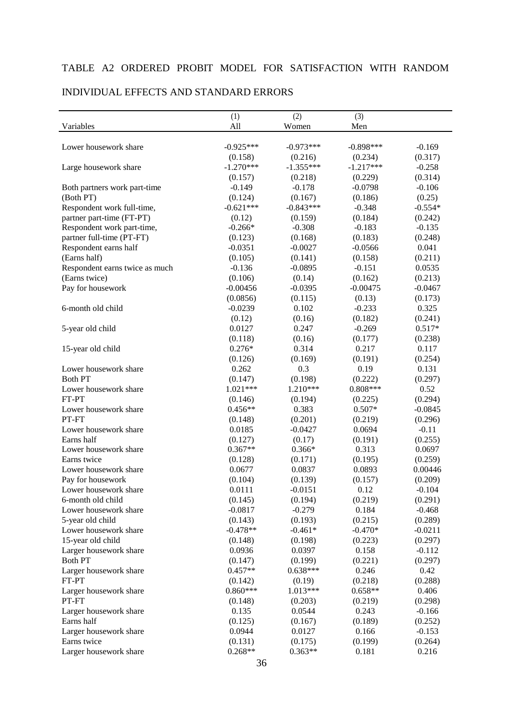#### TABLE A2 ORDERED PROBIT MODEL FOR SATISFACTION WITH RANDOM

#### (1)  $(2)$   $(3)$ Variables All Women Men Lower housework share  $-0.925***$   $-0.973***$   $-0.898***$   $-0.169$  $(0.158)$   $(0.216)$   $(0.234)$   $(0.317)$ Large housework share  $-1.270***$   $-1.355***$   $-1.217***$   $-0.258$  $(0.157)$   $(0.218)$   $(0.229)$   $(0.314)$ Both partners work part-time  $-0.149$   $-0.178$   $-0.0798$   $-0.106$ (Both PT)  $(0.124)$   $(0.167)$   $(0.186)$   $(0.25)$ Respondent work full-time,  $-0.621***$   $-0.843***$   $-0.348$   $-0.554*$ partner part-time (FT-PT) (0.12) (0.159) (0.184) (0.242) Respondent work part-time,  $-0.266*$   $-0.308$   $-0.183$   $-0.135$ partner full-time (PT-FT) (0.123) (0.168) (0.183) (0.248) Respondent earns half  $-0.0351$   $-0.0027$   $-0.0566$   $0.041$ (Earns half)  $(0.105)$   $(0.141)$   $(0.158)$   $(0.211)$ Respondent earns twice as much  $-0.136$   $-0.0895$   $-0.151$   $0.0535$ (Earns twice)  $(0.106)$   $(0.14)$   $(0.162)$   $(0.213)$ Pay for housework -0.00456 -0.0395 -0.00475 -0.0467  $(0.0856)$   $(0.115)$   $(0.13)$   $(0.173)$ 6-month old child  $-0.0239$   $-0.102$   $-0.233$   $0.325$  $(0.12)$   $(0.16)$   $(0.182)$   $(0.241)$ 5-year old child 0.0127 0.247 -0.269 0.517\*  $(0.118)$   $(0.16)$   $(0.177)$   $(0.238)$ 15-year old child  $0.276*$  0.314 0.217 0.117  $(0.126)$   $(0.169)$   $(0.191)$   $(0.254)$ Lower housework share  $0.262$  0.3 0.19 0.131 Both PT (0.147) (0.147) (0.198) (0.222) (0.297) Lower housework share  $1.021***$   $1.210***$   $0.808***$   $0.52$ FT-PT  $(0.146)$   $(0.146)$   $(0.194)$   $(0.225)$   $(0.294)$ Lower housework share  $0.456**$   $0.383$   $0.507*$  -0.0845 PT-FT  $(0.148)$   $(0.201)$   $(0.219)$   $(0.296)$ Lower housework share  $0.0185$  -0.0427 0.0694 -0.11 Earns half (0.127) (0.17) (0.191) (0.255) Lower housework share  $0.367**$   $0.366*$  0.313 0.0697 Earns twice (0.128) (0.171) (0.195) (0.259) Lower housework share  $0.0677$  0.0837 0.0893 0.00446 Pay for housework (0.104) (0.139) (0.157) (0.209) Lower housework share  $0.0111$   $-0.0151$   $0.12$   $-0.104$ 6-month old child (0.145) (0.194) (0.219) (0.291) Lower housework share  $-0.0817$   $-0.279$  0.184  $-0.468$ 5-year old child (0.143) (0.193) (0.215) (0.289) Lower housework share  $-0.478**$   $-0.461*$   $-0.470*$   $-0.0211$ 15-year old child (0.148) (0.198) (0.223) (0.297) Larger housework share  $0.0936$  0.0397 0.158 -0.112 Both PT (0.147) (0.199) (0.221) (0.297) Larger housework share  $0.457**$   $0.638***$  0.246 0.42 FT-PT  $(0.142)$   $(0.19)$   $(0.218)$   $(0.288)$ Larger housework share  $0.860***$  1.013\*\*\*  $0.658**$  0.406 PT-FT (0.148) (0.203) (0.219) (0.298) Larger housework share  $0.135$   $0.0544$   $0.243$   $0.166$ Earns half (0.125) (0.167) (0.189) (0.252) Larger housework share  $0.0944$   $0.0127$  0.166  $-0.153$ Earns twice  $(0.131)$   $(0.175)$   $(0.199)$   $(0.264)$ Larger housework share  $0.268**$   $0.363**$  0.181 0.216

#### INDIVIDUAL EFFECTS AND STANDARD ERRORS

36